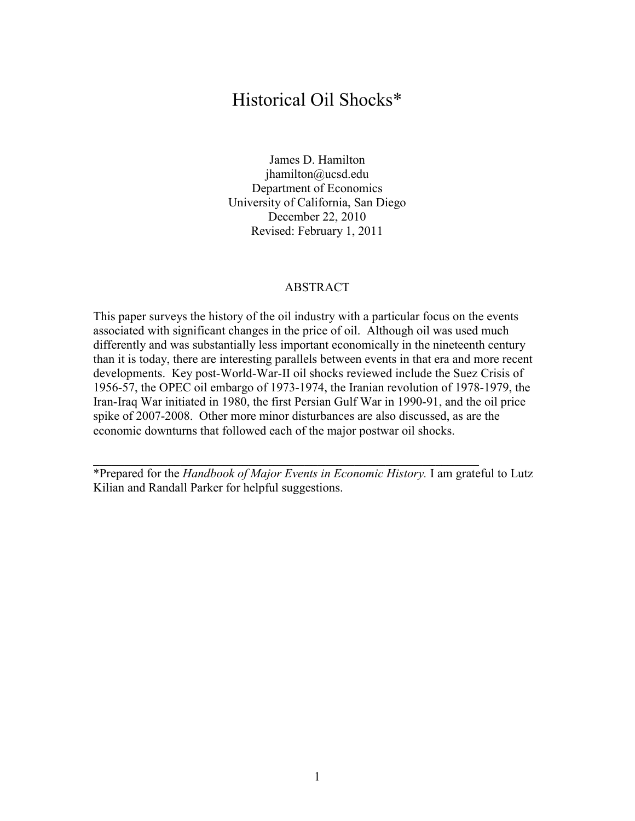#### Historical Oil Shocks\*

James D. Hamilton jhamilton@ucsd.edu Department of Economics University of California, San Diego December 22, 2010 Revised: February 1, 2011

#### ABSTRACT

This paper surveys the history of the oil industry with a particular focus on the events associated with significant changes in the price of oil. Although oil was used much differently and was substantially less important economically in the nineteenth century than it is today, there are interesting parallels between events in that era and more recent developments. Key post-World-War-II oil shocks reviewed include the Suez Crisis of 1956-57, the OPEC oil embargo of 1973-1974, the Iranian revolution of 1978-1979, the Iran-Iraq War initiated in 1980, the first Persian Gulf War in 1990-91, and the oil price spike of 2007-2008. Other more minor disturbances are also discussed, as are the economic downturns that followed each of the major postwar oil shocks.

\*Prepared for the *Handbook of Major Events in Economic History.* I am grateful to Lutz Kilian and Randall Parker for helpful suggestions.

 $\mathcal{L}_\text{max}$  and the contract of the contract of the contract of the contract of the contract of the contract of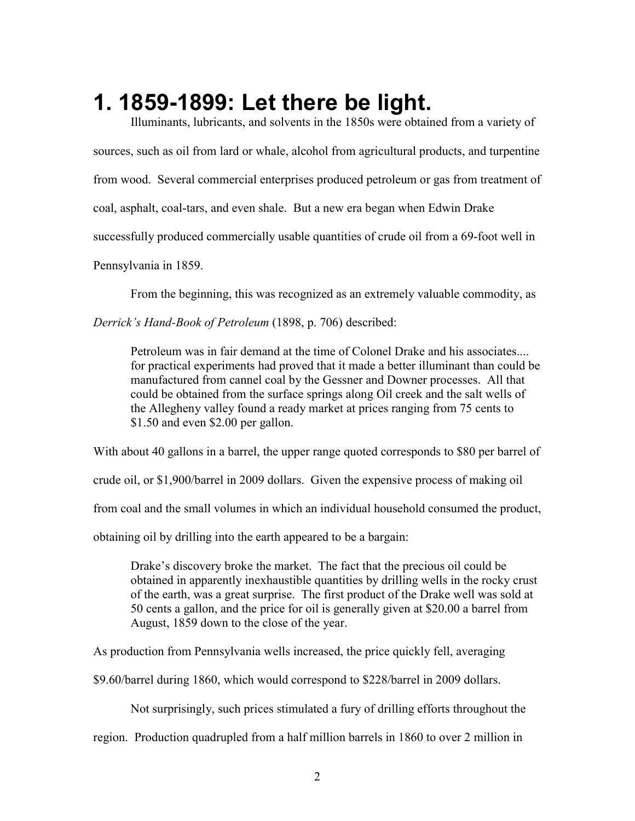# **1. 1859-1899: Let there be light.**

 Illuminants, lubricants, and solvents in the 1850s were obtained from a variety of sources, such as oil from lard or whale, alcohol from agricultural products, and turpentine from wood. Several commercial enterprises produced petroleum or gas from treatment of coal, asphalt, coal-tars, and even shale. But a new era began when Edwin Drake successfully produced commercially usable quantities of crude oil from a 69-foot well in Pennsylvania in 1859.

From the beginning, this was recognized as an extremely valuable commodity, as

*Derrick's Hand-Book of Petroleum* (1898, p. 706) described:

Petroleum was in fair demand at the time of Colonel Drake and his associates.... for practical experiments had proved that it made a better illuminant than could be manufactured from cannel coal by the Gessner and Downer processes. All that could be obtained from the surface springs along Oil creek and the salt wells of the Allegheny valley found a ready market at prices ranging from 75 cents to \$1.50 and even \$2.00 per gallon.

With about 40 gallons in a barrel, the upper range quoted corresponds to \$80 per barrel of crude oil, or \$1,900/barrel in 2009 dollars. Given the expensive process of making oil from coal and the small volumes in which an individual household consumed the product, obtaining oil by drilling into the earth appeared to be a bargain:

Drake's discovery broke the market. The fact that the precious oil could be obtained in apparently inexhaustible quantities by drilling wells in the rocky crust of the earth, was a great surprise. The first product of the Drake well was sold at 50 cents a gallon, and the price for oil is generally given at \$20.00 a barrel from August, 1859 down to the close of the year.

As production from Pennsylvania wells increased, the price quickly fell, averaging

\$9.60/barrel during 1860, which would correspond to \$228/barrel in 2009 dollars.

Not surprisingly, such prices stimulated a fury of drilling efforts throughout the

region. Production quadrupled from a half million barrels in 1860 to over 2 million in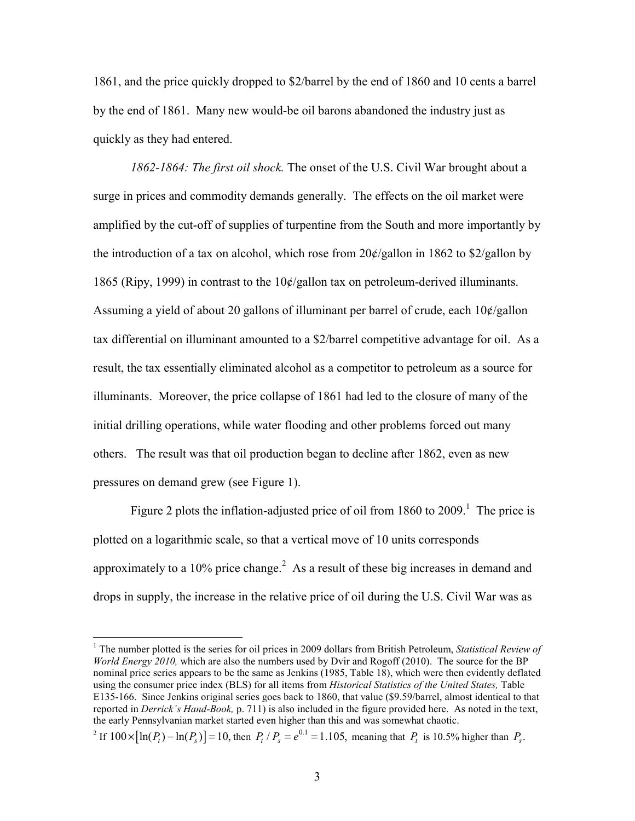1861, and the price quickly dropped to \$2/barrel by the end of 1860 and 10 cents a barrel by the end of 1861. Many new would-be oil barons abandoned the industry just as quickly as they had entered.

*1862-1864: The first oil shock.* The onset of the U.S. Civil War brought about a surge in prices and commodity demands generally. The effects on the oil market were amplified by the cut-off of supplies of turpentine from the South and more importantly by the introduction of a tax on alcohol, which rose from  $20\frac{\cancel{c}}{gal}$  allon in 1862 to \$2/gallon by 1865 (Ripy, 1999) in contrast to the 10¢/gallon tax on petroleum-derived illuminants. Assuming a yield of about 20 gallons of illuminant per barrel of crude, each 10¢/gallon tax differential on illuminant amounted to a \$2/barrel competitive advantage for oil. As a result, the tax essentially eliminated alcohol as a competitor to petroleum as a source for illuminants. Moreover, the price collapse of 1861 had led to the closure of many of the initial drilling operations, while water flooding and other problems forced out many others. The result was that oil production began to decline after 1862, even as new pressures on demand grew (see Figure 1).

Figure 2 plots the inflation-adjusted price of oil from  $1860$  to  $2009$ <sup>1</sup>. The price is plotted on a logarithmic scale, so that a vertical move of 10 units corresponds approximately to a 10% price change.<sup>2</sup> As a result of these big increases in demand and drops in supply, the increase in the relative price of oil during the U.S. Civil War was as

-

<sup>&</sup>lt;sup>1</sup> The number plotted is the series for oil prices in 2009 dollars from British Petroleum, *Statistical Review of World Energy 2010,* which are also the numbers used by Dvir and Rogoff (2010). The source for the BP nominal price series appears to be the same as Jenkins (1985, Table 18), which were then evidently deflated using the consumer price index (BLS) for all items from *Historical Statistics of the United States,* Table E135-166. Since Jenkins original series goes back to 1860, that value (\$9.59/barrel, almost identical to that reported in *Derrick's Hand-Book,* p. 711) is also included in the figure provided here. As noted in the text, the early Pennsylvanian market started even higher than this and was somewhat chaotic.

 $P^2$  If  $100 \times [\ln(P_t) - \ln(P_s)] = 10$ , then  $P_t / P_s = e^{0.1} = 1.105$ , meaning that  $P_t$  is 10.5% higher than  $P_s$ .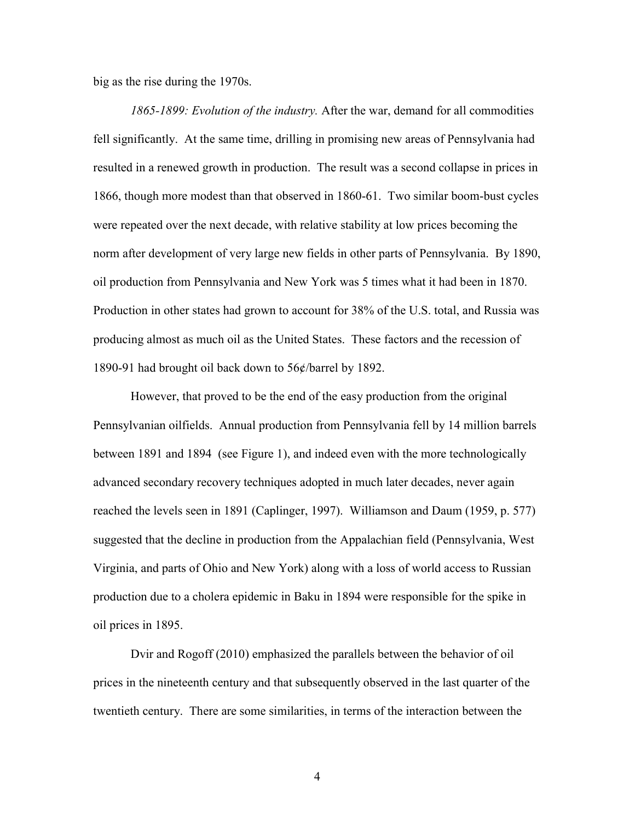big as the rise during the 1970s.

*1865-1899: Evolution of the industry.* After the war, demand for all commodities fell significantly. At the same time, drilling in promising new areas of Pennsylvania had resulted in a renewed growth in production. The result was a second collapse in prices in 1866, though more modest than that observed in 1860-61. Two similar boom-bust cycles were repeated over the next decade, with relative stability at low prices becoming the norm after development of very large new fields in other parts of Pennsylvania. By 1890, oil production from Pennsylvania and New York was 5 times what it had been in 1870. Production in other states had grown to account for 38% of the U.S. total, and Russia was producing almost as much oil as the United States. These factors and the recession of 1890-91 had brought oil back down to 56¢/barrel by 1892.

 However, that proved to be the end of the easy production from the original Pennsylvanian oilfields. Annual production from Pennsylvania fell by 14 million barrels between 1891 and 1894 (see Figure 1), and indeed even with the more technologically advanced secondary recovery techniques adopted in much later decades, never again reached the levels seen in 1891 (Caplinger, 1997). Williamson and Daum (1959, p. 577) suggested that the decline in production from the Appalachian field (Pennsylvania, West Virginia, and parts of Ohio and New York) along with a loss of world access to Russian production due to a cholera epidemic in Baku in 1894 were responsible for the spike in oil prices in 1895.

 Dvir and Rogoff (2010) emphasized the parallels between the behavior of oil prices in the nineteenth century and that subsequently observed in the last quarter of the twentieth century. There are some similarities, in terms of the interaction between the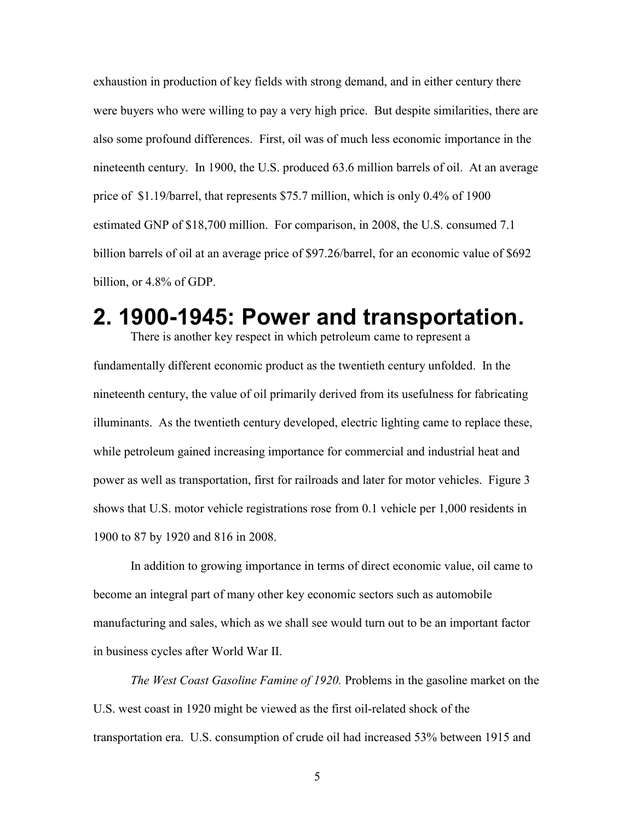exhaustion in production of key fields with strong demand, and in either century there were buyers who were willing to pay a very high price. But despite similarities, there are also some profound differences. First, oil was of much less economic importance in the nineteenth century. In 1900, the U.S. produced 63.6 million barrels of oil. At an average price of \$1.19/barrel, that represents \$75.7 million, which is only 0.4% of 1900 estimated GNP of \$18,700 million. For comparison, in 2008, the U.S. consumed 7.1 billion barrels of oil at an average price of \$97.26/barrel, for an economic value of \$692 billion, or 4.8% of GDP.

### **2. 1900-1945: Power and transportation.**

There is another key respect in which petroleum came to represent a fundamentally different economic product as the twentieth century unfolded. In the nineteenth century, the value of oil primarily derived from its usefulness for fabricating illuminants. As the twentieth century developed, electric lighting came to replace these, while petroleum gained increasing importance for commercial and industrial heat and power as well as transportation, first for railroads and later for motor vehicles. Figure 3 shows that U.S. motor vehicle registrations rose from 0.1 vehicle per 1,000 residents in 1900 to 87 by 1920 and 816 in 2008.

 In addition to growing importance in terms of direct economic value, oil came to become an integral part of many other key economic sectors such as automobile manufacturing and sales, which as we shall see would turn out to be an important factor in business cycles after World War II.

*The West Coast Gasoline Famine of 1920.* Problems in the gasoline market on the U.S. west coast in 1920 might be viewed as the first oil-related shock of the transportation era. U.S. consumption of crude oil had increased 53% between 1915 and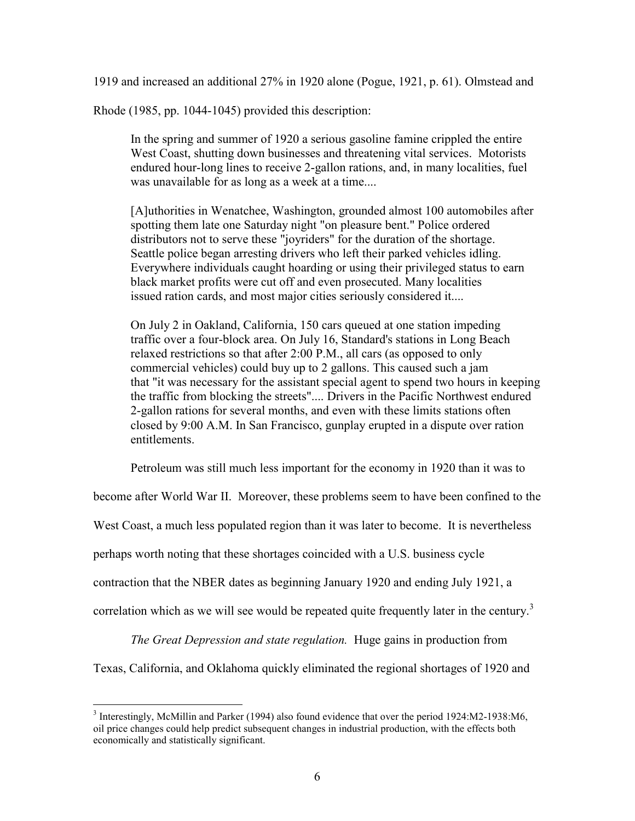1919 and increased an additional 27% in 1920 alone (Pogue, 1921, p. 61). Olmstead and

Rhode (1985, pp. 1044-1045) provided this description:

In the spring and summer of 1920 a serious gasoline famine crippled the entire West Coast, shutting down businesses and threatening vital services. Motorists endured hour-long lines to receive 2-gallon rations, and, in many localities, fuel was unavailable for as long as a week at a time....

[A]uthorities in Wenatchee, Washington, grounded almost 100 automobiles after spotting them late one Saturday night "on pleasure bent." Police ordered distributors not to serve these "joyriders" for the duration of the shortage. Seattle police began arresting drivers who left their parked vehicles idling. Everywhere individuals caught hoarding or using their privileged status to earn black market profits were cut off and even prosecuted. Many localities issued ration cards, and most major cities seriously considered it....

On July 2 in Oakland, California, 150 cars queued at one station impeding traffic over a four-block area. On July 16, Standard's stations in Long Beach relaxed restrictions so that after 2:00 P.M., all cars (as opposed to only commercial vehicles) could buy up to 2 gallons. This caused such a jam that "it was necessary for the assistant special agent to spend two hours in keeping the traffic from blocking the streets".... Drivers in the Pacific Northwest endured 2-gallon rations for several months, and even with these limits stations often closed by 9:00 A.M. In San Francisco, gunplay erupted in a dispute over ration entitlements.

Petroleum was still much less important for the economy in 1920 than it was to

become after World War II. Moreover, these problems seem to have been confined to the

West Coast, a much less populated region than it was later to become. It is nevertheless

perhaps worth noting that these shortages coincided with a U.S. business cycle

contraction that the NBER dates as beginning January 1920 and ending July 1921, a

correlation which as we will see would be repeated quite frequently later in the century.<sup>3</sup>

*The Great Depression and state regulation.* Huge gains in production from

Texas, California, and Oklahoma quickly eliminated the regional shortages of 1920 and

<sup>1</sup> <sup>3</sup> Interestingly, McMillin and Parker (1994) also found evidence that over the period 1924:M2-1938:M6, oil price changes could help predict subsequent changes in industrial production, with the effects both economically and statistically significant.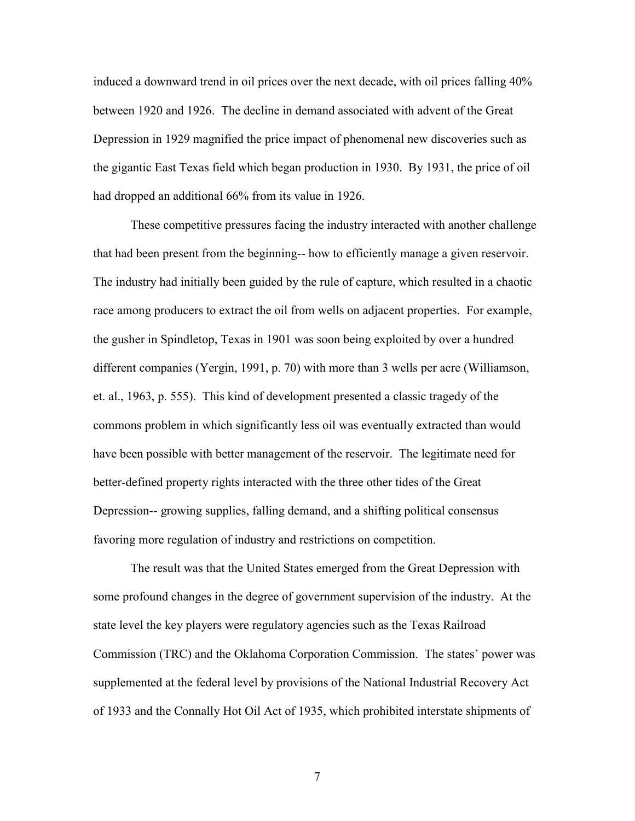induced a downward trend in oil prices over the next decade, with oil prices falling 40% between 1920 and 1926. The decline in demand associated with advent of the Great Depression in 1929 magnified the price impact of phenomenal new discoveries such as the gigantic East Texas field which began production in 1930. By 1931, the price of oil had dropped an additional 66% from its value in 1926.

These competitive pressures facing the industry interacted with another challenge that had been present from the beginning-- how to efficiently manage a given reservoir. The industry had initially been guided by the rule of capture, which resulted in a chaotic race among producers to extract the oil from wells on adjacent properties. For example, the gusher in Spindletop, Texas in 1901 was soon being exploited by over a hundred different companies (Yergin, 1991, p. 70) with more than 3 wells per acre (Williamson, et. al., 1963, p. 555). This kind of development presented a classic tragedy of the commons problem in which significantly less oil was eventually extracted than would have been possible with better management of the reservoir. The legitimate need for better-defined property rights interacted with the three other tides of the Great Depression-- growing supplies, falling demand, and a shifting political consensus favoring more regulation of industry and restrictions on competition.

The result was that the United States emerged from the Great Depression with some profound changes in the degree of government supervision of the industry. At the state level the key players were regulatory agencies such as the Texas Railroad Commission (TRC) and the Oklahoma Corporation Commission. The states' power was supplemented at the federal level by provisions of the National Industrial Recovery Act of 1933 and the Connally Hot Oil Act of 1935, which prohibited interstate shipments of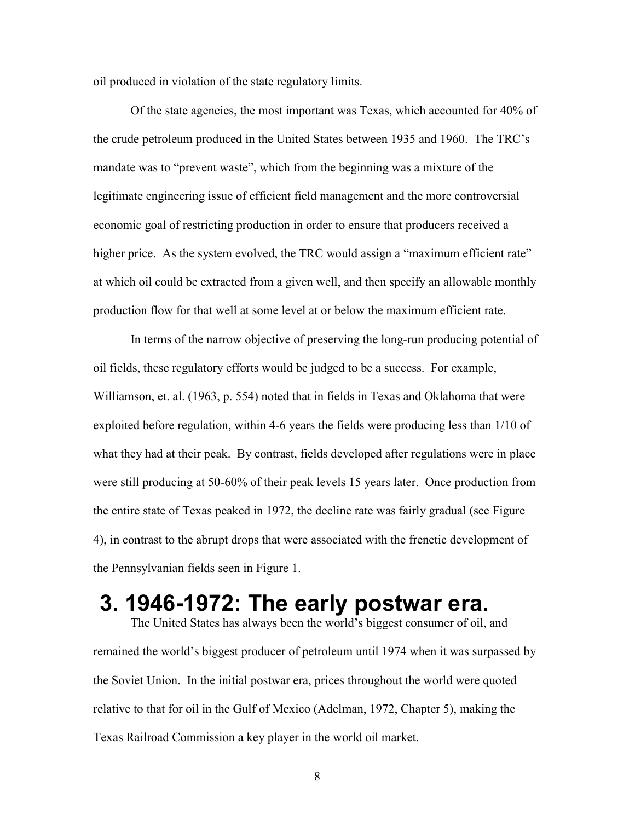oil produced in violation of the state regulatory limits.

Of the state agencies, the most important was Texas, which accounted for 40% of the crude petroleum produced in the United States between 1935 and 1960. The TRC's mandate was to "prevent waste", which from the beginning was a mixture of the legitimate engineering issue of efficient field management and the more controversial economic goal of restricting production in order to ensure that producers received a higher price. As the system evolved, the TRC would assign a "maximum efficient rate" at which oil could be extracted from a given well, and then specify an allowable monthly production flow for that well at some level at or below the maximum efficient rate.

In terms of the narrow objective of preserving the long-run producing potential of oil fields, these regulatory efforts would be judged to be a success. For example, Williamson, et. al. (1963, p. 554) noted that in fields in Texas and Oklahoma that were exploited before regulation, within 4-6 years the fields were producing less than 1/10 of what they had at their peak. By contrast, fields developed after regulations were in place were still producing at 50-60% of their peak levels 15 years later. Once production from the entire state of Texas peaked in 1972, the decline rate was fairly gradual (see Figure 4), in contrast to the abrupt drops that were associated with the frenetic development of the Pennsylvanian fields seen in Figure 1.

# **3. 1946-1972: The early postwar era.**

 The United States has always been the world's biggest consumer of oil, and remained the world's biggest producer of petroleum until 1974 when it was surpassed by the Soviet Union. In the initial postwar era, prices throughout the world were quoted relative to that for oil in the Gulf of Mexico (Adelman, 1972, Chapter 5), making the Texas Railroad Commission a key player in the world oil market.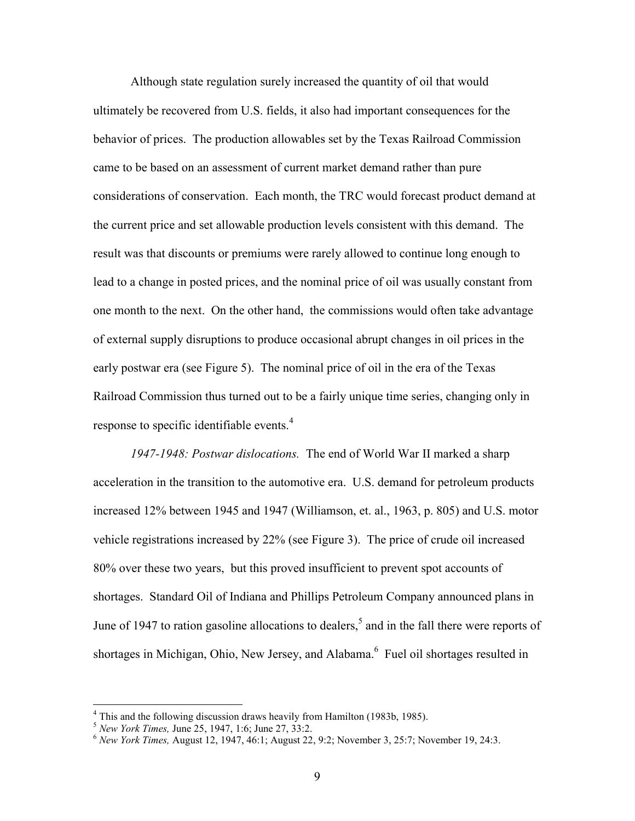Although state regulation surely increased the quantity of oil that would ultimately be recovered from U.S. fields, it also had important consequences for the behavior of prices. The production allowables set by the Texas Railroad Commission came to be based on an assessment of current market demand rather than pure considerations of conservation. Each month, the TRC would forecast product demand at the current price and set allowable production levels consistent with this demand. The result was that discounts or premiums were rarely allowed to continue long enough to lead to a change in posted prices, and the nominal price of oil was usually constant from one month to the next. On the other hand, the commissions would often take advantage of external supply disruptions to produce occasional abrupt changes in oil prices in the early postwar era (see Figure 5). The nominal price of oil in the era of the Texas Railroad Commission thus turned out to be a fairly unique time series, changing only in response to specific identifiable events.<sup>4</sup>

*1947-1948: Postwar dislocations.* The end of World War II marked a sharp acceleration in the transition to the automotive era. U.S. demand for petroleum products increased 12% between 1945 and 1947 (Williamson, et. al., 1963, p. 805) and U.S. motor vehicle registrations increased by 22% (see Figure 3). The price of crude oil increased 80% over these two years, but this proved insufficient to prevent spot accounts of shortages. Standard Oil of Indiana and Phillips Petroleum Company announced plans in June of 1947 to ration gasoline allocations to dealers,<sup>5</sup> and in the fall there were reports of shortages in Michigan, Ohio, New Jersey, and Alabama.<sup>6</sup> Fuel oil shortages resulted in

 4 This and the following discussion draws heavily from Hamilton (1983b, 1985).

<sup>5</sup> *New York Times,* June 25, 1947, 1:6; June 27, 33:2. 6 *New York Times,* August 12, 1947, 46:1; August 22, 9:2; November 3, 25:7; November 19, 24:3.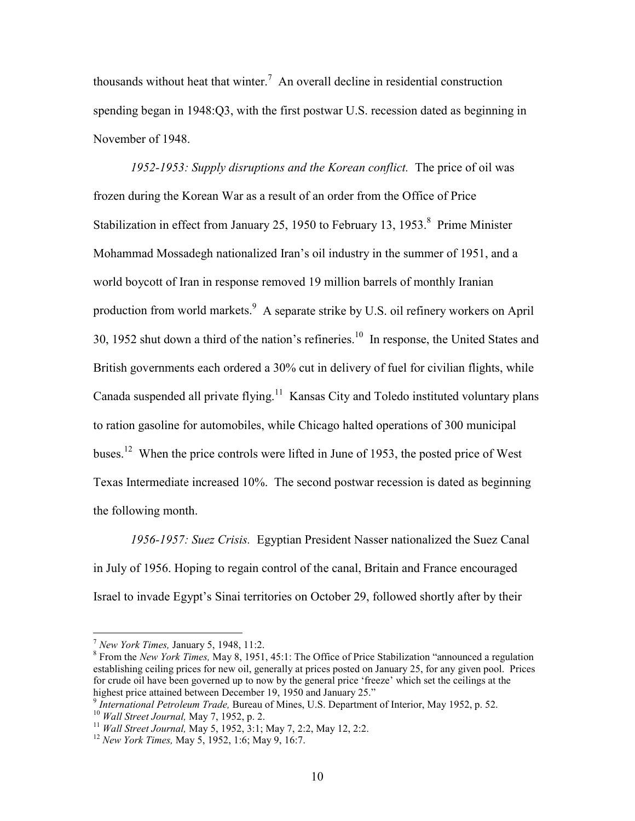thousands without heat that winter.<sup>7</sup> An overall decline in residential construction spending began in 1948:Q3, with the first postwar U.S. recession dated as beginning in November of 1948.

*1952-1953: Supply disruptions and the Korean conflict.* The price of oil was frozen during the Korean War as a result of an order from the Office of Price Stabilization in effect from January 25, 1950 to February 13, 1953.<sup>8</sup> Prime Minister Mohammad Mossadegh nationalized Iran's oil industry in the summer of 1951, and a world boycott of Iran in response removed 19 million barrels of monthly Iranian production from world markets.  $9$  A separate strike by U.S. oil refinery workers on April 30, 1952 shut down a third of the nation's refineries.<sup>10</sup> In response, the United States and British governments each ordered a 30% cut in delivery of fuel for civilian flights, while Canada suspended all private flying.<sup>11</sup> Kansas City and Toledo instituted voluntary plans to ration gasoline for automobiles, while Chicago halted operations of 300 municipal buses.<sup>12</sup> When the price controls were lifted in June of 1953, the posted price of West Texas Intermediate increased 10%. The second postwar recession is dated as beginning the following month.

*1956-1957: Suez Crisis.* Egyptian President Nasser nationalized the Suez Canal in July of 1956. Hoping to regain control of the canal, Britain and France encouraged Israel to invade Egypt's Sinai territories on October 29, followed shortly after by their

 $\overline{a}$ 

<sup>7</sup> *New York Times,* January 5, 1948, 11:2. 8

From the *New York Times,* May 8, 1951, 45:1: The Office of Price Stabilization "announced a regulation establishing ceiling prices for new oil, generally at prices posted on January 25, for any given pool. Prices for crude oil have been governed up to now by the general price 'freeze' which set the ceilings at the highest price attained between December 19, 1950 and January 25."

<sup>&</sup>lt;sup>9</sup> International Petroleum Trade, Bureau of Mines, U.S. Department of Interior, May 1952, p. 52.<br><sup>10</sup> Wall Street Journal, May 7, 1952, p. 2.<br><sup>11</sup> Wall Street Journal, May 5, 1952, 3:1; May 7, 2:2, May 12, 2:2.<br><sup>12</sup> New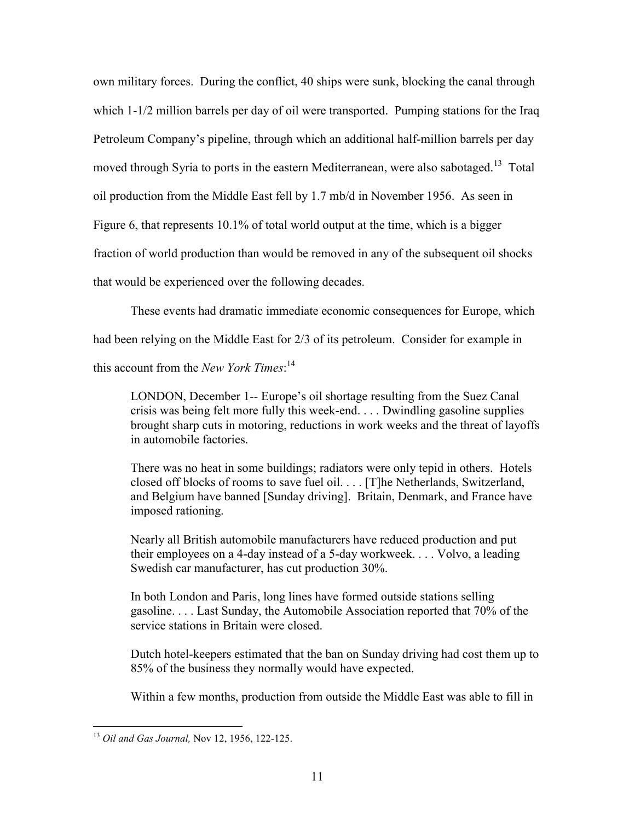own military forces. During the conflict, 40 ships were sunk, blocking the canal through which 1-1/2 million barrels per day of oil were transported. Pumping stations for the Iraq Petroleum Company's pipeline, through which an additional half-million barrels per day moved through Syria to ports in the eastern Mediterranean, were also sabotaged.<sup>13</sup> Total oil production from the Middle East fell by 1.7 mb/d in November 1956. As seen in Figure 6, that represents 10.1% of total world output at the time, which is a bigger fraction of world production than would be removed in any of the subsequent oil shocks that would be experienced over the following decades.

These events had dramatic immediate economic consequences for Europe, which had been relying on the Middle East for 2/3 of its petroleum. Consider for example in this account from the *New York Times*: 14

LONDON, December 1-- Europe's oil shortage resulting from the Suez Canal crisis was being felt more fully this week-end. . . . Dwindling gasoline supplies brought sharp cuts in motoring, reductions in work weeks and the threat of layoffs in automobile factories.

There was no heat in some buildings; radiators were only tepid in others. Hotels closed off blocks of rooms to save fuel oil. . . . [T]he Netherlands, Switzerland, and Belgium have banned [Sunday driving]. Britain, Denmark, and France have imposed rationing.

Nearly all British automobile manufacturers have reduced production and put their employees on a 4-day instead of a 5-day workweek. . . . Volvo, a leading Swedish car manufacturer, has cut production 30%.

In both London and Paris, long lines have formed outside stations selling gasoline. . . . Last Sunday, the Automobile Association reported that 70% of the service stations in Britain were closed.

Dutch hotel-keepers estimated that the ban on Sunday driving had cost them up to 85% of the business they normally would have expected.

Within a few months, production from outside the Middle East was able to fill in

 $\overline{a}$ <sup>13</sup> *Oil and Gas Journal,* Nov 12, 1956, 122-125.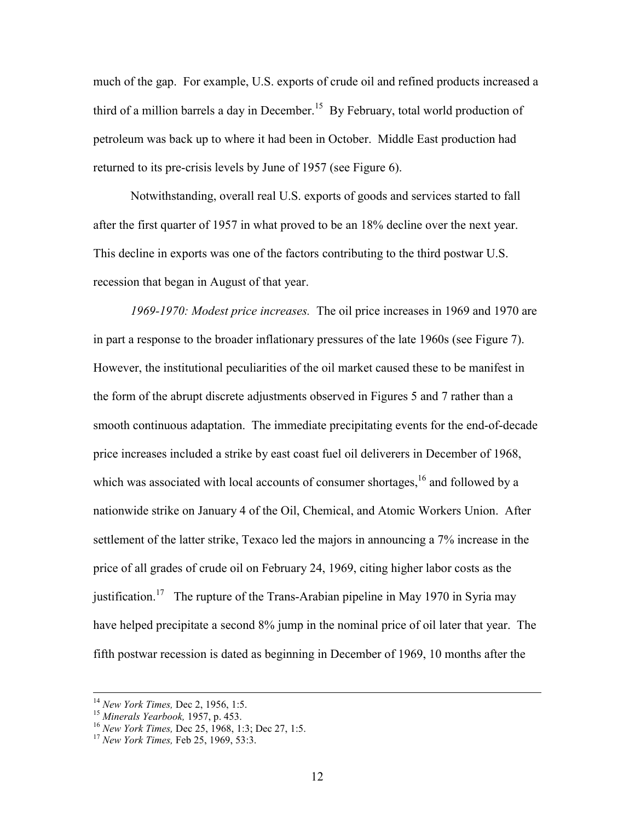much of the gap. For example, U.S. exports of crude oil and refined products increased a third of a million barrels a day in December.<sup>15</sup> By February, total world production of petroleum was back up to where it had been in October. Middle East production had returned to its pre-crisis levels by June of 1957 (see Figure 6).

Notwithstanding, overall real U.S. exports of goods and services started to fall after the first quarter of 1957 in what proved to be an 18% decline over the next year. This decline in exports was one of the factors contributing to the third postwar U.S. recession that began in August of that year.

*1969-1970: Modest price increases.* The oil price increases in 1969 and 1970 are in part a response to the broader inflationary pressures of the late 1960s (see Figure 7). However, the institutional peculiarities of the oil market caused these to be manifest in the form of the abrupt discrete adjustments observed in Figures 5 and 7 rather than a smooth continuous adaptation. The immediate precipitating events for the end-of-decade price increases included a strike by east coast fuel oil deliverers in December of 1968, which was associated with local accounts of consumer shortages,<sup>16</sup> and followed by a nationwide strike on January 4 of the Oil, Chemical, and Atomic Workers Union. After settlement of the latter strike, Texaco led the majors in announcing a 7% increase in the price of all grades of crude oil on February 24, 1969, citing higher labor costs as the justification.<sup>17</sup> The rupture of the Trans-Arabian pipeline in May 1970 in Syria may have helped precipitate a second 8% jump in the nominal price of oil later that year. The fifth postwar recession is dated as beginning in December of 1969, 10 months after the

<sup>&</sup>lt;sup>14</sup> *New York Times, Dec 2, 1956, 1:5.*<br><sup>15</sup> *Minerals Yearbook, 1957, p. 453.*<br><sup>16</sup> *New York Times, Dec 25, 1968, 1:3; Dec 27, 1:5.*<br><sup>17</sup> *New York Times, Feb 25, 1969, 53:3.*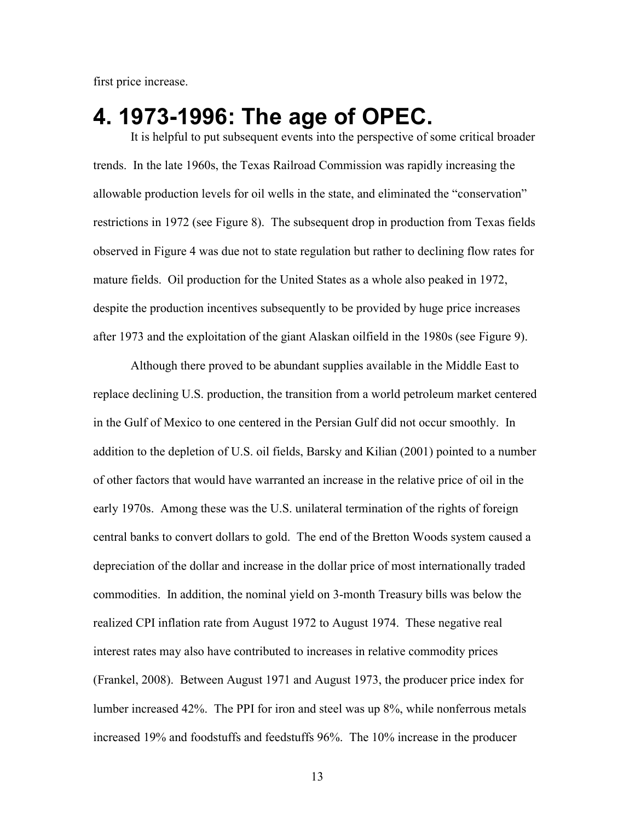first price increase.

### **4. 1973-1996: The age of OPEC.**

It is helpful to put subsequent events into the perspective of some critical broader trends. In the late 1960s, the Texas Railroad Commission was rapidly increasing the allowable production levels for oil wells in the state, and eliminated the "conservation" restrictions in 1972 (see Figure 8). The subsequent drop in production from Texas fields observed in Figure 4 was due not to state regulation but rather to declining flow rates for mature fields. Oil production for the United States as a whole also peaked in 1972, despite the production incentives subsequently to be provided by huge price increases after 1973 and the exploitation of the giant Alaskan oilfield in the 1980s (see Figure 9).

Although there proved to be abundant supplies available in the Middle East to replace declining U.S. production, the transition from a world petroleum market centered in the Gulf of Mexico to one centered in the Persian Gulf did not occur smoothly. In addition to the depletion of U.S. oil fields, Barsky and Kilian (2001) pointed to a number of other factors that would have warranted an increase in the relative price of oil in the early 1970s. Among these was the U.S. unilateral termination of the rights of foreign central banks to convert dollars to gold. The end of the Bretton Woods system caused a depreciation of the dollar and increase in the dollar price of most internationally traded commodities. In addition, the nominal yield on 3-month Treasury bills was below the realized CPI inflation rate from August 1972 to August 1974. These negative real interest rates may also have contributed to increases in relative commodity prices (Frankel, 2008). Between August 1971 and August 1973, the producer price index for lumber increased 42%. The PPI for iron and steel was up 8%, while nonferrous metals increased 19% and foodstuffs and feedstuffs 96%. The 10% increase in the producer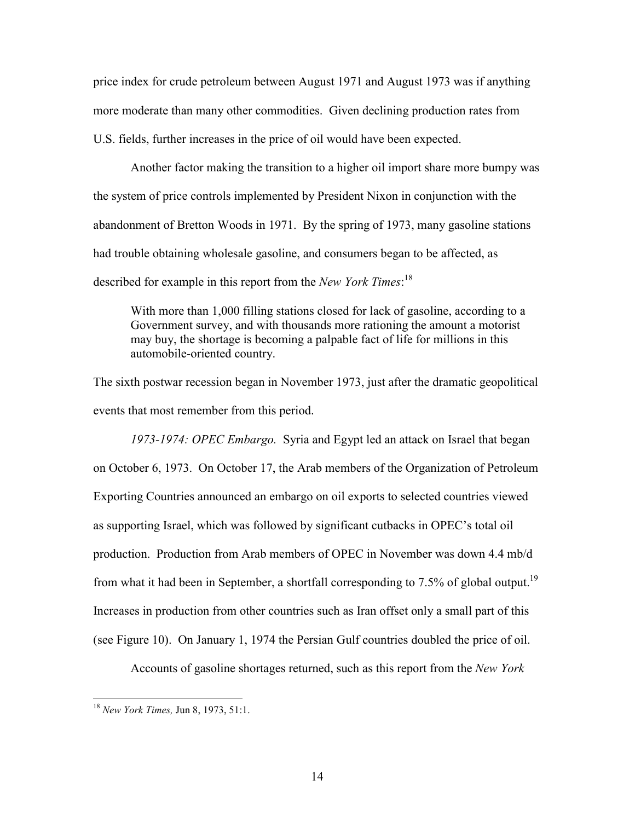price index for crude petroleum between August 1971 and August 1973 was if anything more moderate than many other commodities. Given declining production rates from U.S. fields, further increases in the price of oil would have been expected.

Another factor making the transition to a higher oil import share more bumpy was the system of price controls implemented by President Nixon in conjunction with the abandonment of Bretton Woods in 1971. By the spring of 1973, many gasoline stations had trouble obtaining wholesale gasoline, and consumers began to be affected, as described for example in this report from the *New York Times*: 18

With more than 1,000 filling stations closed for lack of gasoline, according to a Government survey, and with thousands more rationing the amount a motorist may buy, the shortage is becoming a palpable fact of life for millions in this automobile-oriented country.

The sixth postwar recession began in November 1973, just after the dramatic geopolitical events that most remember from this period.

*1973-1974: OPEC Embargo.* Syria and Egypt led an attack on Israel that began on October 6, 1973. On October 17, the Arab members of the Organization of Petroleum Exporting Countries announced an embargo on oil exports to selected countries viewed as supporting Israel, which was followed by significant cutbacks in OPEC's total oil production. Production from Arab members of OPEC in November was down 4.4 mb/d from what it had been in September, a shortfall corresponding to 7.5% of global output.<sup>19</sup> Increases in production from other countries such as Iran offset only a small part of this (see Figure 10). On January 1, 1974 the Persian Gulf countries doubled the price of oil.

Accounts of gasoline shortages returned, such as this report from the *New York* 

<sup>18</sup> *New York Times,* Jun 8, 1973, 51:1.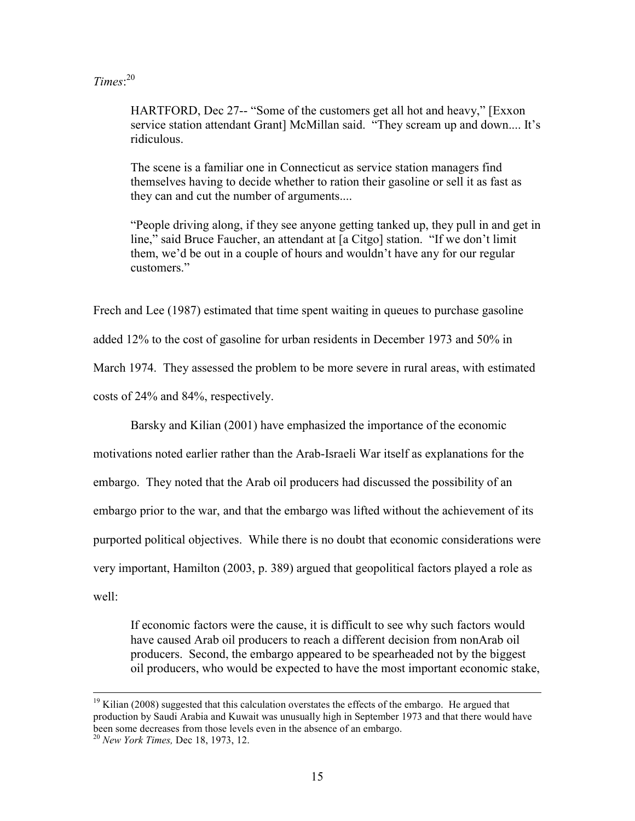#### *Times*: 20

HARTFORD, Dec 27-- "Some of the customers get all hot and heavy," [Exxon service station attendant Grant] McMillan said. "They scream up and down.... It's ridiculous.

The scene is a familiar one in Connecticut as service station managers find themselves having to decide whether to ration their gasoline or sell it as fast as they can and cut the number of arguments....

"People driving along, if they see anyone getting tanked up, they pull in and get in line," said Bruce Faucher, an attendant at [a Citgo] station. "If we don't limit them, we'd be out in a couple of hours and wouldn't have any for our regular customers."

Frech and Lee (1987) estimated that time spent waiting in queues to purchase gasoline

added 12% to the cost of gasoline for urban residents in December 1973 and 50% in

March 1974. They assessed the problem to be more severe in rural areas, with estimated

costs of 24% and 84%, respectively.

Barsky and Kilian (2001) have emphasized the importance of the economic

motivations noted earlier rather than the Arab-Israeli War itself as explanations for the embargo. They noted that the Arab oil producers had discussed the possibility of an embargo prior to the war, and that the embargo was lifted without the achievement of its purported political objectives. While there is no doubt that economic considerations were very important, Hamilton (2003, p. 389) argued that geopolitical factors played a role as well:

If economic factors were the cause, it is difficult to see why such factors would have caused Arab oil producers to reach a different decision from nonArab oil producers. Second, the embargo appeared to be spearheaded not by the biggest oil producers, who would be expected to have the most important economic stake,

 $19$  Kilian (2008) suggested that this calculation overstates the effects of the embargo. He argued that production by Saudi Arabia and Kuwait was unusually high in September 1973 and that there would have been some decreases from those levels even in the absence of an embargo.

<sup>20</sup> *New York Times,* Dec 18, 1973, 12.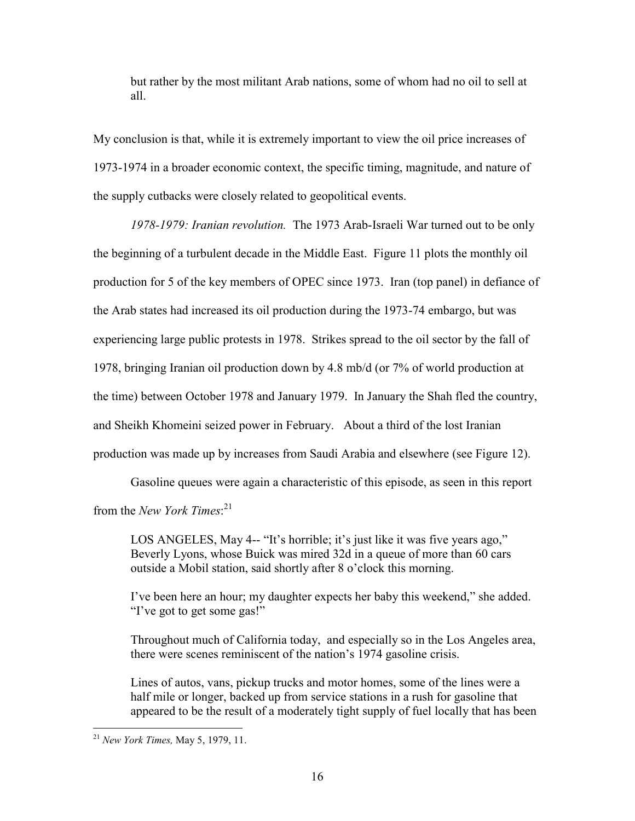but rather by the most militant Arab nations, some of whom had no oil to sell at all.

My conclusion is that, while it is extremely important to view the oil price increases of 1973-1974 in a broader economic context, the specific timing, magnitude, and nature of the supply cutbacks were closely related to geopolitical events.

*1978-1979: Iranian revolution.* The 1973 Arab-Israeli War turned out to be only the beginning of a turbulent decade in the Middle East. Figure 11 plots the monthly oil production for 5 of the key members of OPEC since 1973. Iran (top panel) in defiance of the Arab states had increased its oil production during the 1973-74 embargo, but was experiencing large public protests in 1978. Strikes spread to the oil sector by the fall of 1978, bringing Iranian oil production down by 4.8 mb/d (or 7% of world production at the time) between October 1978 and January 1979. In January the Shah fled the country, and Sheikh Khomeini seized power in February. About a third of the lost Iranian production was made up by increases from Saudi Arabia and elsewhere (see Figure 12).

Gasoline queues were again a characteristic of this episode, as seen in this report from the *New York Times*: 21

LOS ANGELES, May 4-- "It's horrible; it's just like it was five years ago," Beverly Lyons, whose Buick was mired 32d in a queue of more than 60 cars outside a Mobil station, said shortly after 8 o'clock this morning.

I've been here an hour; my daughter expects her baby this weekend," she added. "I've got to get some gas!"

Throughout much of California today, and especially so in the Los Angeles area, there were scenes reminiscent of the nation's 1974 gasoline crisis.

Lines of autos, vans, pickup trucks and motor homes, some of the lines were a half mile or longer, backed up from service stations in a rush for gasoline that appeared to be the result of a moderately tight supply of fuel locally that has been

<sup>1</sup> <sup>21</sup> *New York Times,* May 5, 1979, 11.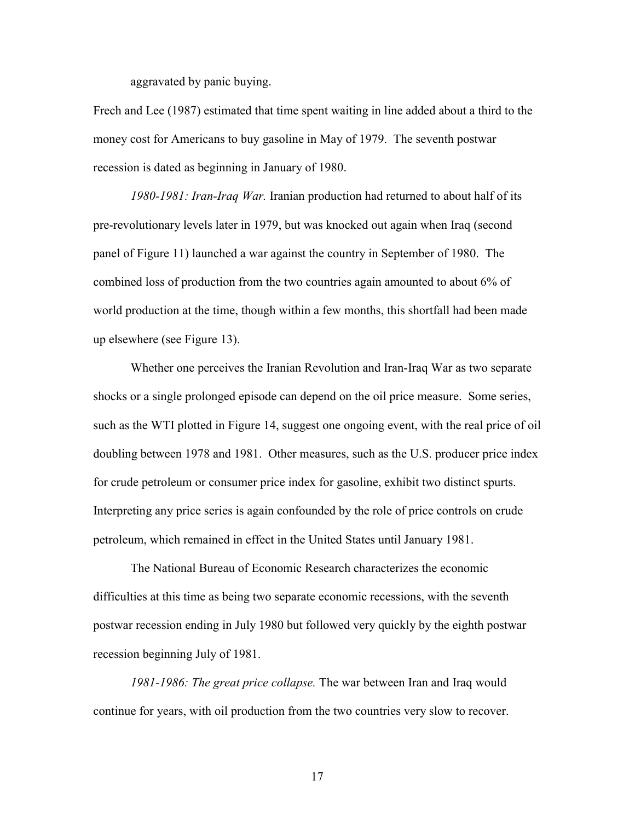aggravated by panic buying.

Frech and Lee (1987) estimated that time spent waiting in line added about a third to the money cost for Americans to buy gasoline in May of 1979. The seventh postwar recession is dated as beginning in January of 1980.

*1980-1981: Iran-Iraq War.* Iranian production had returned to about half of its pre-revolutionary levels later in 1979, but was knocked out again when Iraq (second panel of Figure 11) launched a war against the country in September of 1980. The combined loss of production from the two countries again amounted to about 6% of world production at the time, though within a few months, this shortfall had been made up elsewhere (see Figure 13).

Whether one perceives the Iranian Revolution and Iran-Iraq War as two separate shocks or a single prolonged episode can depend on the oil price measure. Some series, such as the WTI plotted in Figure 14, suggest one ongoing event, with the real price of oil doubling between 1978 and 1981. Other measures, such as the U.S. producer price index for crude petroleum or consumer price index for gasoline, exhibit two distinct spurts. Interpreting any price series is again confounded by the role of price controls on crude petroleum, which remained in effect in the United States until January 1981.

The National Bureau of Economic Research characterizes the economic difficulties at this time as being two separate economic recessions, with the seventh postwar recession ending in July 1980 but followed very quickly by the eighth postwar recession beginning July of 1981.

*1981-1986: The great price collapse.* The war between Iran and Iraq would continue for years, with oil production from the two countries very slow to recover.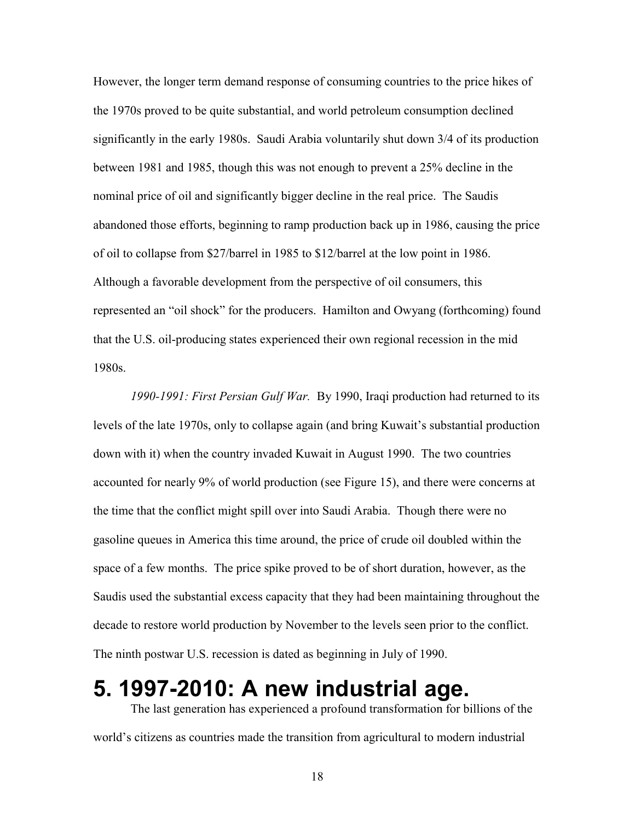However, the longer term demand response of consuming countries to the price hikes of the 1970s proved to be quite substantial, and world petroleum consumption declined significantly in the early 1980s. Saudi Arabia voluntarily shut down 3/4 of its production between 1981 and 1985, though this was not enough to prevent a 25% decline in the nominal price of oil and significantly bigger decline in the real price. The Saudis abandoned those efforts, beginning to ramp production back up in 1986, causing the price of oil to collapse from \$27/barrel in 1985 to \$12/barrel at the low point in 1986. Although a favorable development from the perspective of oil consumers, this represented an "oil shock" for the producers. Hamilton and Owyang (forthcoming) found that the U.S. oil-producing states experienced their own regional recession in the mid 1980s.

*1990-1991: First Persian Gulf War.* By 1990, Iraqi production had returned to its levels of the late 1970s, only to collapse again (and bring Kuwait's substantial production down with it) when the country invaded Kuwait in August 1990. The two countries accounted for nearly 9% of world production (see Figure 15), and there were concerns at the time that the conflict might spill over into Saudi Arabia. Though there were no gasoline queues in America this time around, the price of crude oil doubled within the space of a few months. The price spike proved to be of short duration, however, as the Saudis used the substantial excess capacity that they had been maintaining throughout the decade to restore world production by November to the levels seen prior to the conflict. The ninth postwar U.S. recession is dated as beginning in July of 1990.

## **5. 1997-2010: A new industrial age.**

 The last generation has experienced a profound transformation for billions of the world's citizens as countries made the transition from agricultural to modern industrial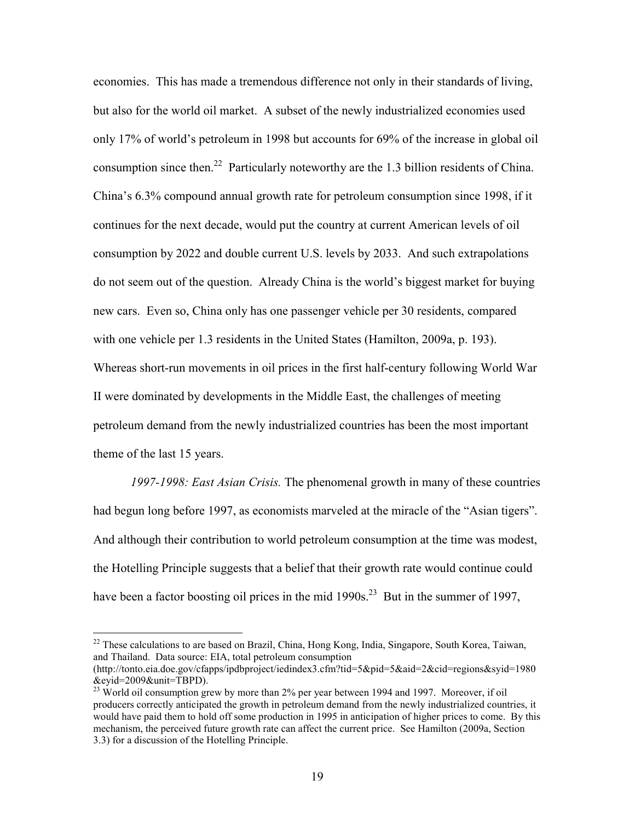economies. This has made a tremendous difference not only in their standards of living, but also for the world oil market. A subset of the newly industrialized economies used only 17% of world's petroleum in 1998 but accounts for 69% of the increase in global oil consumption since then.<sup>22</sup> Particularly noteworthy are the 1.3 billion residents of China. China's 6.3% compound annual growth rate for petroleum consumption since 1998, if it continues for the next decade, would put the country at current American levels of oil consumption by 2022 and double current U.S. levels by 2033. And such extrapolations do not seem out of the question. Already China is the world's biggest market for buying new cars. Even so, China only has one passenger vehicle per 30 residents, compared with one vehicle per 1.3 residents in the United States (Hamilton, 2009a, p. 193). Whereas short-run movements in oil prices in the first half-century following World War II were dominated by developments in the Middle East, the challenges of meeting petroleum demand from the newly industrialized countries has been the most important theme of the last 15 years.

*1997-1998: East Asian Crisis.* The phenomenal growth in many of these countries had begun long before 1997, as economists marveled at the miracle of the "Asian tigers". And although their contribution to world petroleum consumption at the time was modest, the Hotelling Principle suggests that a belief that their growth rate would continue could have been a factor boosting oil prices in the mid  $1990s^{23}$  But in the summer of 1997,

<sup>&</sup>lt;sup>22</sup> These calculations to are based on Brazil, China, Hong Kong, India, Singapore, South Korea, Taiwan, and Thailand. Data source: EIA, total petroleum consumption

<sup>(</sup>http://tonto.eia.doe.gov/cfapps/ipdbproject/iedindex3.cfm?tid=5&pid=5&aid=2&cid=regions&syid=1980 &eyid=2009&unit=TBPD).

 $^{23}$  World oil consumption grew by more than 2% per year between 1994 and 1997. Moreover, if oil producers correctly anticipated the growth in petroleum demand from the newly industrialized countries, it would have paid them to hold off some production in 1995 in anticipation of higher prices to come. By this mechanism, the perceived future growth rate can affect the current price. See Hamilton (2009a, Section 3.3) for a discussion of the Hotelling Principle.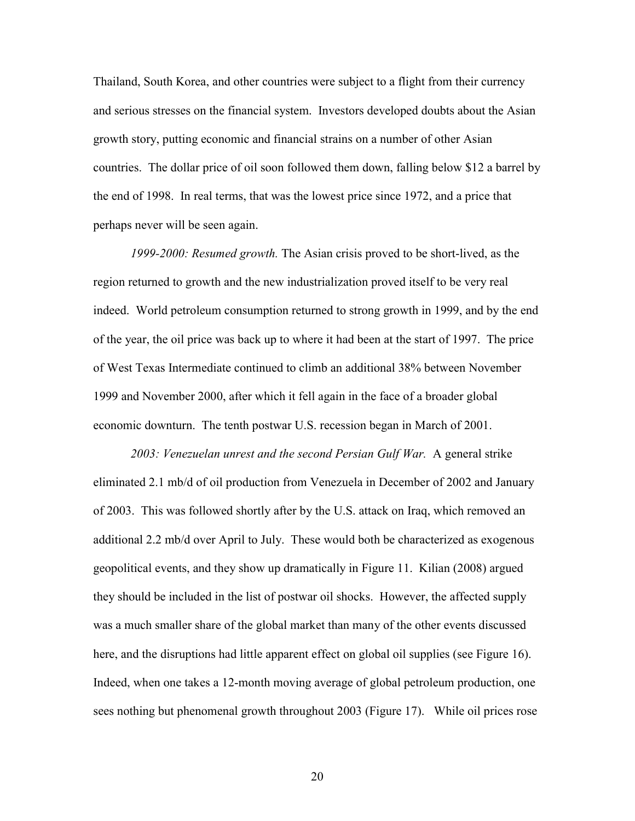Thailand, South Korea, and other countries were subject to a flight from their currency and serious stresses on the financial system. Investors developed doubts about the Asian growth story, putting economic and financial strains on a number of other Asian countries. The dollar price of oil soon followed them down, falling below \$12 a barrel by the end of 1998. In real terms, that was the lowest price since 1972, and a price that perhaps never will be seen again.

*1999-2000: Resumed growth.* The Asian crisis proved to be short-lived, as the region returned to growth and the new industrialization proved itself to be very real indeed. World petroleum consumption returned to strong growth in 1999, and by the end of the year, the oil price was back up to where it had been at the start of 1997. The price of West Texas Intermediate continued to climb an additional 38% between November 1999 and November 2000, after which it fell again in the face of a broader global economic downturn. The tenth postwar U.S. recession began in March of 2001.

*2003: Venezuelan unrest and the second Persian Gulf War.* A general strike eliminated 2.1 mb/d of oil production from Venezuela in December of 2002 and January of 2003. This was followed shortly after by the U.S. attack on Iraq, which removed an additional 2.2 mb/d over April to July. These would both be characterized as exogenous geopolitical events, and they show up dramatically in Figure 11. Kilian (2008) argued they should be included in the list of postwar oil shocks. However, the affected supply was a much smaller share of the global market than many of the other events discussed here, and the disruptions had little apparent effect on global oil supplies (see Figure 16). Indeed, when one takes a 12-month moving average of global petroleum production, one sees nothing but phenomenal growth throughout 2003 (Figure 17). While oil prices rose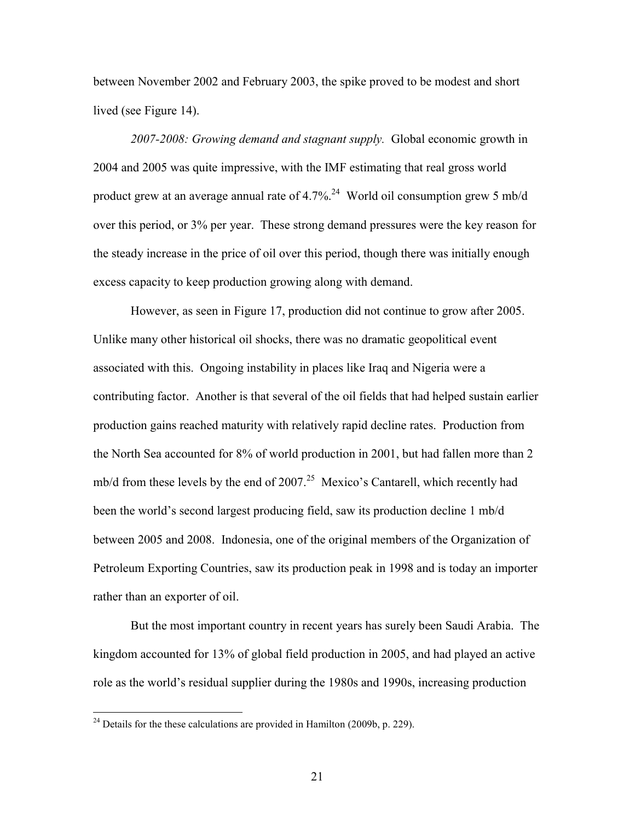between November 2002 and February 2003, the spike proved to be modest and short lived (see Figure 14).

*2007-2008: Growing demand and stagnant supply.* Global economic growth in 2004 and 2005 was quite impressive, with the IMF estimating that real gross world product grew at an average annual rate of  $4.7\%$ <sup>24</sup> World oil consumption grew 5 mb/d over this period, or 3% per year. These strong demand pressures were the key reason for the steady increase in the price of oil over this period, though there was initially enough excess capacity to keep production growing along with demand.

 However, as seen in Figure 17, production did not continue to grow after 2005. Unlike many other historical oil shocks, there was no dramatic geopolitical event associated with this. Ongoing instability in places like Iraq and Nigeria were a contributing factor. Another is that several of the oil fields that had helped sustain earlier production gains reached maturity with relatively rapid decline rates. Production from the North Sea accounted for 8% of world production in 2001, but had fallen more than 2 mb/d from these levels by the end of  $2007<sup>25</sup>$  Mexico's Cantarell, which recently had been the world's second largest producing field, saw its production decline 1 mb/d between 2005 and 2008. Indonesia, one of the original members of the Organization of Petroleum Exporting Countries, saw its production peak in 1998 and is today an importer rather than an exporter of oil.

 But the most important country in recent years has surely been Saudi Arabia. The kingdom accounted for 13% of global field production in 2005, and had played an active role as the world's residual supplier during the 1980s and 1990s, increasing production

<u>.</u>

 $^{24}$  Details for the these calculations are provided in Hamilton (2009b, p. 229).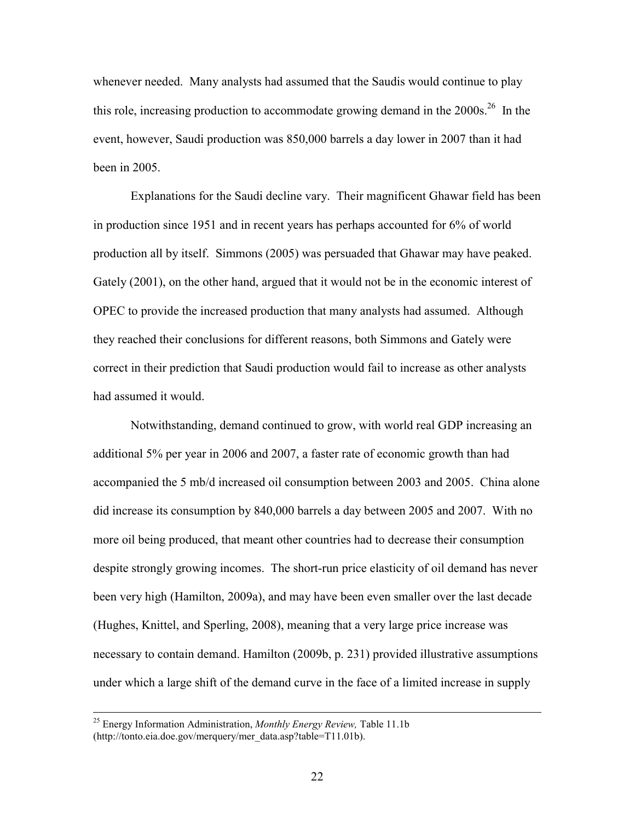whenever needed. Many analysts had assumed that the Saudis would continue to play this role, increasing production to accommodate growing demand in the  $2000s$ <sup>26</sup> In the event, however, Saudi production was 850,000 barrels a day lower in 2007 than it had been in 2005.

 Explanations for the Saudi decline vary. Their magnificent Ghawar field has been in production since 1951 and in recent years has perhaps accounted for 6% of world production all by itself. Simmons (2005) was persuaded that Ghawar may have peaked. Gately (2001), on the other hand, argued that it would not be in the economic interest of OPEC to provide the increased production that many analysts had assumed. Although they reached their conclusions for different reasons, both Simmons and Gately were correct in their prediction that Saudi production would fail to increase as other analysts had assumed it would.

 Notwithstanding, demand continued to grow, with world real GDP increasing an additional 5% per year in 2006 and 2007, a faster rate of economic growth than had accompanied the 5 mb/d increased oil consumption between 2003 and 2005. China alone did increase its consumption by 840,000 barrels a day between 2005 and 2007. With no more oil being produced, that meant other countries had to decrease their consumption despite strongly growing incomes. The short-run price elasticity of oil demand has never been very high (Hamilton, 2009a), and may have been even smaller over the last decade (Hughes, Knittel, and Sperling, 2008), meaning that a very large price increase was necessary to contain demand. Hamilton (2009b, p. 231) provided illustrative assumptions under which a large shift of the demand curve in the face of a limited increase in supply

 <sup>25</sup> Energy Information Administration, *Monthly Energy Review,* Table 11.1b (http://tonto.eia.doe.gov/merquery/mer\_data.asp?table=T11.01b).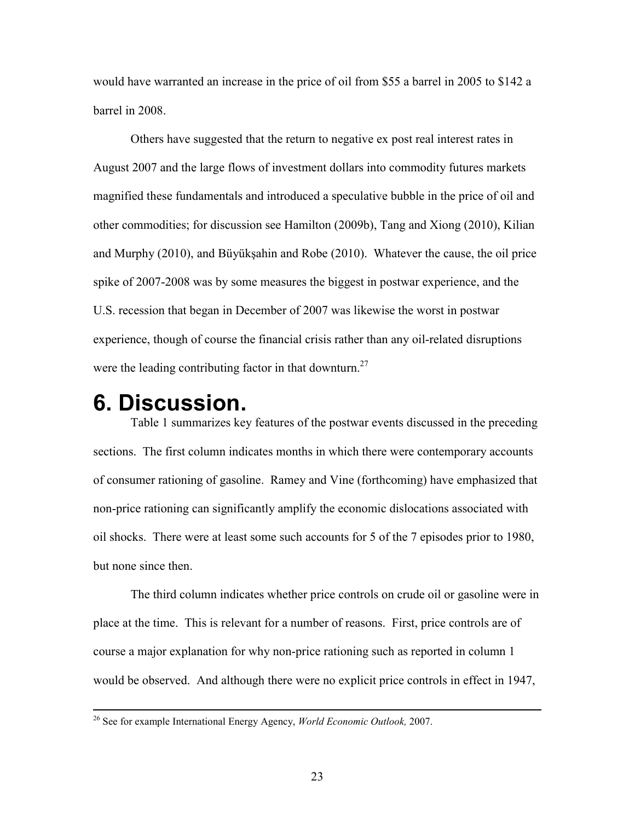would have warranted an increase in the price of oil from \$55 a barrel in 2005 to \$142 a barrel in 2008.

 Others have suggested that the return to negative ex post real interest rates in August 2007 and the large flows of investment dollars into commodity futures markets magnified these fundamentals and introduced a speculative bubble in the price of oil and other commodities; for discussion see Hamilton (2009b), Tang and Xiong (2010), Kilian and Murphy (2010), and Büyükşahin and Robe (2010). Whatever the cause, the oil price spike of 2007-2008 was by some measures the biggest in postwar experience, and the U.S. recession that began in December of 2007 was likewise the worst in postwar experience, though of course the financial crisis rather than any oil-related disruptions were the leading contributing factor in that downturn.<sup>27</sup>

#### **6. Discussion.**

Table 1 summarizes key features of the postwar events discussed in the preceding sections. The first column indicates months in which there were contemporary accounts of consumer rationing of gasoline. Ramey and Vine (forthcoming) have emphasized that non-price rationing can significantly amplify the economic dislocations associated with oil shocks. There were at least some such accounts for 5 of the 7 episodes prior to 1980, but none since then.

The third column indicates whether price controls on crude oil or gasoline were in place at the time. This is relevant for a number of reasons. First, price controls are of course a major explanation for why non-price rationing such as reported in column 1 would be observed. And although there were no explicit price controls in effect in 1947,

 <sup>26</sup> See for example International Energy Agency, *World Economic Outlook,* 2007.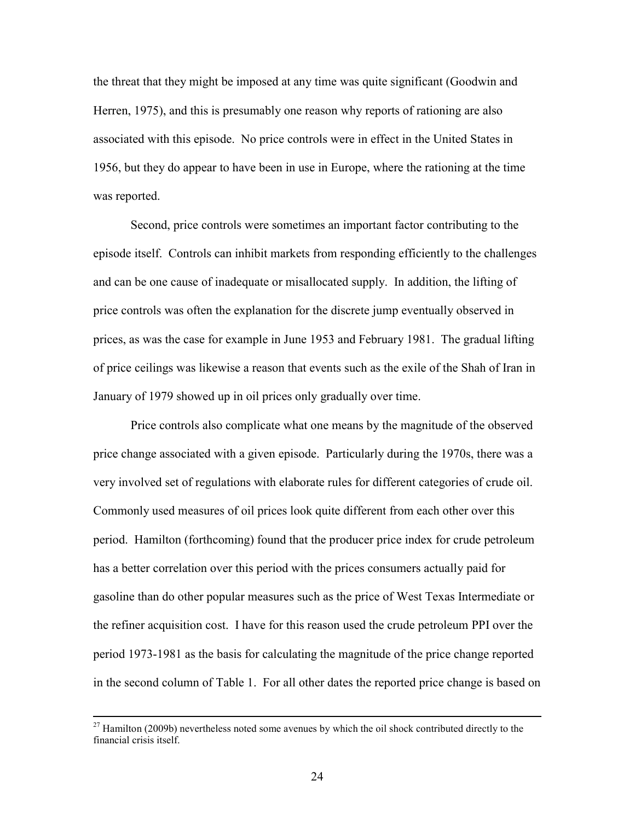the threat that they might be imposed at any time was quite significant (Goodwin and Herren, 1975), and this is presumably one reason why reports of rationing are also associated with this episode. No price controls were in effect in the United States in 1956, but they do appear to have been in use in Europe, where the rationing at the time was reported.

Second, price controls were sometimes an important factor contributing to the episode itself. Controls can inhibit markets from responding efficiently to the challenges and can be one cause of inadequate or misallocated supply. In addition, the lifting of price controls was often the explanation for the discrete jump eventually observed in prices, as was the case for example in June 1953 and February 1981. The gradual lifting of price ceilings was likewise a reason that events such as the exile of the Shah of Iran in January of 1979 showed up in oil prices only gradually over time.

Price controls also complicate what one means by the magnitude of the observed price change associated with a given episode. Particularly during the 1970s, there was a very involved set of regulations with elaborate rules for different categories of crude oil. Commonly used measures of oil prices look quite different from each other over this period. Hamilton (forthcoming) found that the producer price index for crude petroleum has a better correlation over this period with the prices consumers actually paid for gasoline than do other popular measures such as the price of West Texas Intermediate or the refiner acquisition cost. I have for this reason used the crude petroleum PPI over the period 1973-1981 as the basis for calculating the magnitude of the price change reported in the second column of Table 1. For all other dates the reported price change is based on

 $27$  Hamilton (2009b) nevertheless noted some avenues by which the oil shock contributed directly to the financial crisis itself.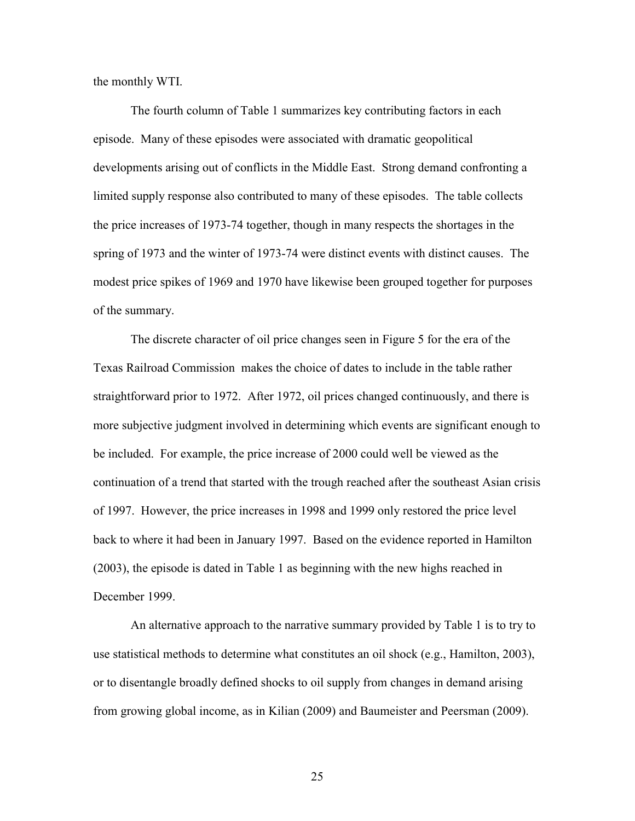the monthly WTI.

The fourth column of Table 1 summarizes key contributing factors in each episode. Many of these episodes were associated with dramatic geopolitical developments arising out of conflicts in the Middle East. Strong demand confronting a limited supply response also contributed to many of these episodes. The table collects the price increases of 1973-74 together, though in many respects the shortages in the spring of 1973 and the winter of 1973-74 were distinct events with distinct causes. The modest price spikes of 1969 and 1970 have likewise been grouped together for purposes of the summary.

The discrete character of oil price changes seen in Figure 5 for the era of the Texas Railroad Commission makes the choice of dates to include in the table rather straightforward prior to 1972. After 1972, oil prices changed continuously, and there is more subjective judgment involved in determining which events are significant enough to be included. For example, the price increase of 2000 could well be viewed as the continuation of a trend that started with the trough reached after the southeast Asian crisis of 1997. However, the price increases in 1998 and 1999 only restored the price level back to where it had been in January 1997. Based on the evidence reported in Hamilton (2003), the episode is dated in Table 1 as beginning with the new highs reached in December 1999.

An alternative approach to the narrative summary provided by Table 1 is to try to use statistical methods to determine what constitutes an oil shock (e.g., Hamilton, 2003), or to disentangle broadly defined shocks to oil supply from changes in demand arising from growing global income, as in Kilian (2009) and Baumeister and Peersman (2009).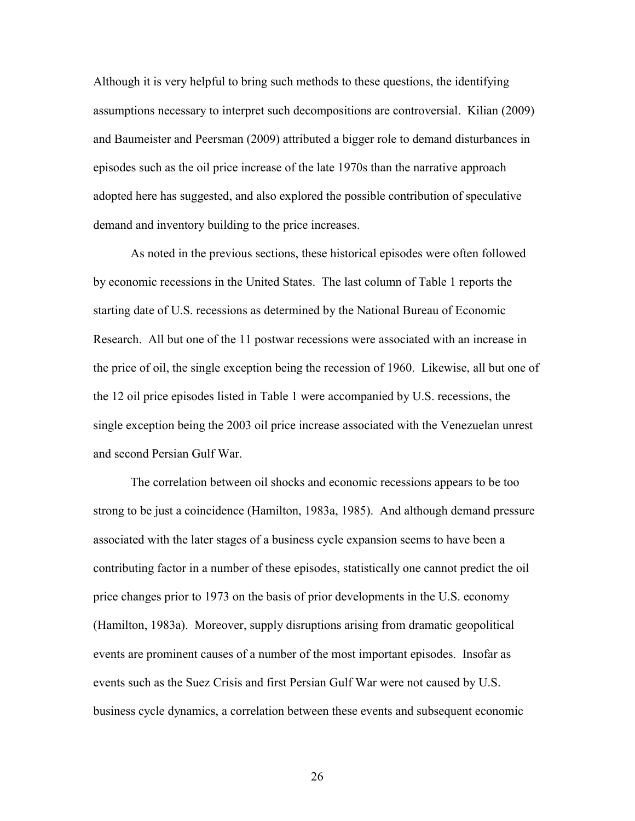Although it is very helpful to bring such methods to these questions, the identifying assumptions necessary to interpret such decompositions are controversial. Kilian (2009) and Baumeister and Peersman (2009) attributed a bigger role to demand disturbances in episodes such as the oil price increase of the late 1970s than the narrative approach adopted here has suggested, and also explored the possible contribution of speculative demand and inventory building to the price increases.

As noted in the previous sections, these historical episodes were often followed by economic recessions in the United States. The last column of Table 1 reports the starting date of U.S. recessions as determined by the National Bureau of Economic Research. All but one of the 11 postwar recessions were associated with an increase in the price of oil, the single exception being the recession of 1960. Likewise, all but one of the 12 oil price episodes listed in Table 1 were accompanied by U.S. recessions, the single exception being the 2003 oil price increase associated with the Venezuelan unrest and second Persian Gulf War.

The correlation between oil shocks and economic recessions appears to be too strong to be just a coincidence (Hamilton, 1983a, 1985). And although demand pressure associated with the later stages of a business cycle expansion seems to have been a contributing factor in a number of these episodes, statistically one cannot predict the oil price changes prior to 1973 on the basis of prior developments in the U.S. economy (Hamilton, 1983a). Moreover, supply disruptions arising from dramatic geopolitical events are prominent causes of a number of the most important episodes. Insofar as events such as the Suez Crisis and first Persian Gulf War were not caused by U.S. business cycle dynamics, a correlation between these events and subsequent economic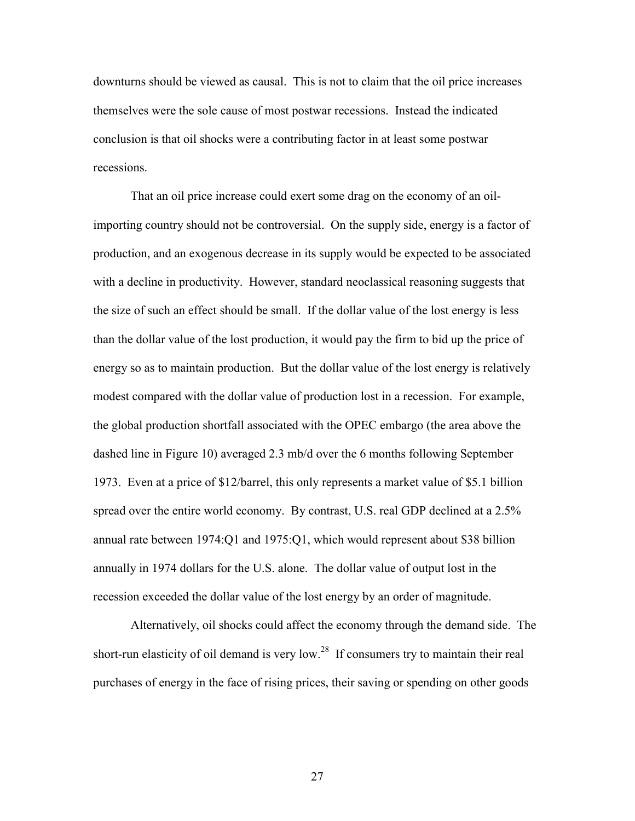downturns should be viewed as causal. This is not to claim that the oil price increases themselves were the sole cause of most postwar recessions. Instead the indicated conclusion is that oil shocks were a contributing factor in at least some postwar recessions.

That an oil price increase could exert some drag on the economy of an oilimporting country should not be controversial. On the supply side, energy is a factor of production, and an exogenous decrease in its supply would be expected to be associated with a decline in productivity. However, standard neoclassical reasoning suggests that the size of such an effect should be small. If the dollar value of the lost energy is less than the dollar value of the lost production, it would pay the firm to bid up the price of energy so as to maintain production. But the dollar value of the lost energy is relatively modest compared with the dollar value of production lost in a recession. For example, the global production shortfall associated with the OPEC embargo (the area above the dashed line in Figure 10) averaged 2.3 mb/d over the 6 months following September 1973. Even at a price of \$12/barrel, this only represents a market value of \$5.1 billion spread over the entire world economy. By contrast, U.S. real GDP declined at a 2.5% annual rate between 1974:Q1 and 1975:Q1, which would represent about \$38 billion annually in 1974 dollars for the U.S. alone. The dollar value of output lost in the recession exceeded the dollar value of the lost energy by an order of magnitude.

Alternatively, oil shocks could affect the economy through the demand side. The short-run elasticity of oil demand is very low.<sup>28</sup> If consumers try to maintain their real purchases of energy in the face of rising prices, their saving or spending on other goods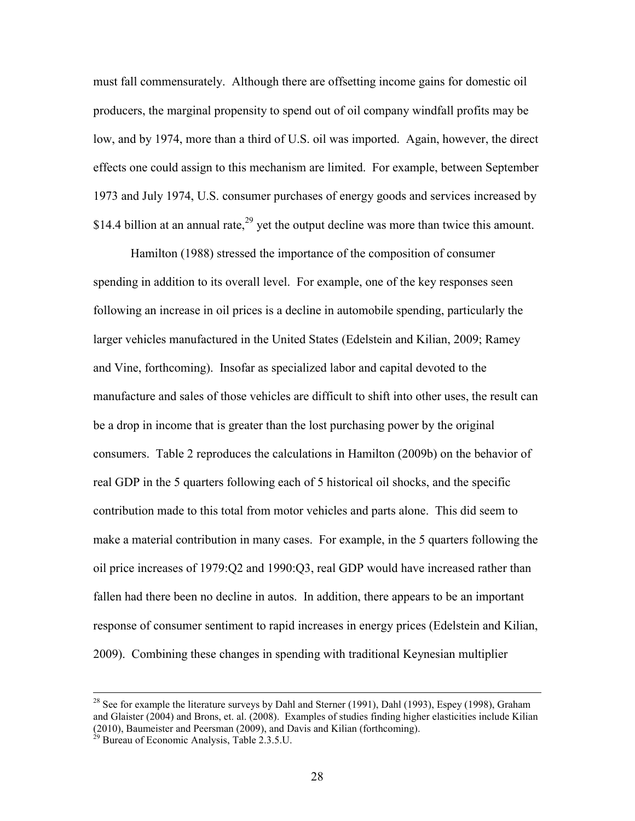must fall commensurately. Although there are offsetting income gains for domestic oil producers, the marginal propensity to spend out of oil company windfall profits may be low, and by 1974, more than a third of U.S. oil was imported. Again, however, the direct effects one could assign to this mechanism are limited. For example, between September 1973 and July 1974, U.S. consumer purchases of energy goods and services increased by \$14.4 billion at an annual rate, $^{29}$  yet the output decline was more than twice this amount.

Hamilton (1988) stressed the importance of the composition of consumer spending in addition to its overall level. For example, one of the key responses seen following an increase in oil prices is a decline in automobile spending, particularly the larger vehicles manufactured in the United States (Edelstein and Kilian, 2009; Ramey and Vine, forthcoming). Insofar as specialized labor and capital devoted to the manufacture and sales of those vehicles are difficult to shift into other uses, the result can be a drop in income that is greater than the lost purchasing power by the original consumers. Table 2 reproduces the calculations in Hamilton (2009b) on the behavior of real GDP in the 5 quarters following each of 5 historical oil shocks, and the specific contribution made to this total from motor vehicles and parts alone. This did seem to make a material contribution in many cases. For example, in the 5 quarters following the oil price increases of 1979:Q2 and 1990:Q3, real GDP would have increased rather than fallen had there been no decline in autos. In addition, there appears to be an important response of consumer sentiment to rapid increases in energy prices (Edelstein and Kilian, 2009). Combining these changes in spending with traditional Keynesian multiplier

<sup>&</sup>lt;sup>28</sup> See for example the literature surveys by Dahl and Sterner (1991), Dahl (1993), Espey (1998), Graham and Glaister (2004) and Brons, et. al. (2008). Examples of studies finding higher elasticities include Kilian (2010), Baumeister and Peersman (2009), and Davis and Kilian (forthcoming).

 $^{29}$  Bureau of Economic Analysis, Table 2.3.5.U.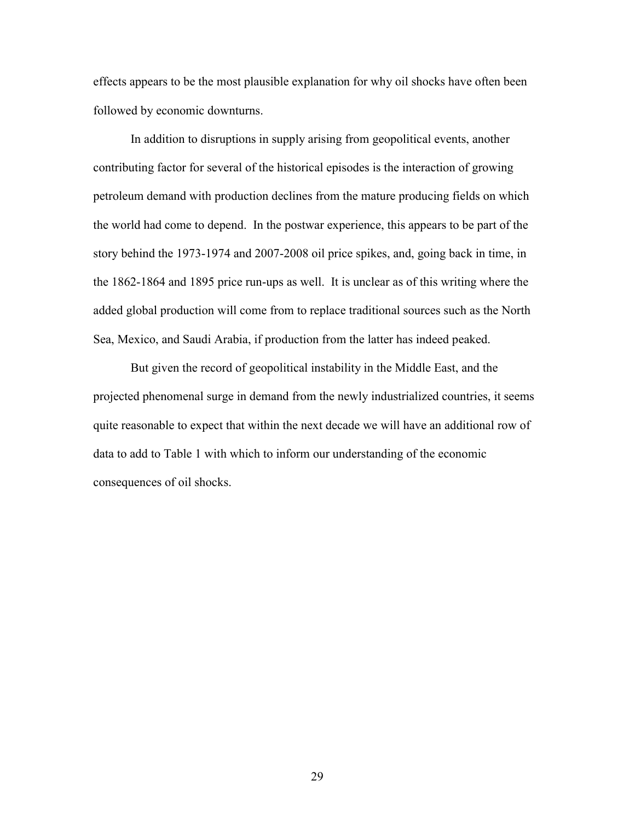effects appears to be the most plausible explanation for why oil shocks have often been followed by economic downturns.

In addition to disruptions in supply arising from geopolitical events, another contributing factor for several of the historical episodes is the interaction of growing petroleum demand with production declines from the mature producing fields on which the world had come to depend. In the postwar experience, this appears to be part of the story behind the 1973-1974 and 2007-2008 oil price spikes, and, going back in time, in the 1862-1864 and 1895 price run-ups as well. It is unclear as of this writing where the added global production will come from to replace traditional sources such as the North Sea, Mexico, and Saudi Arabia, if production from the latter has indeed peaked.

But given the record of geopolitical instability in the Middle East, and the projected phenomenal surge in demand from the newly industrialized countries, it seems quite reasonable to expect that within the next decade we will have an additional row of data to add to Table 1 with which to inform our understanding of the economic consequences of oil shocks.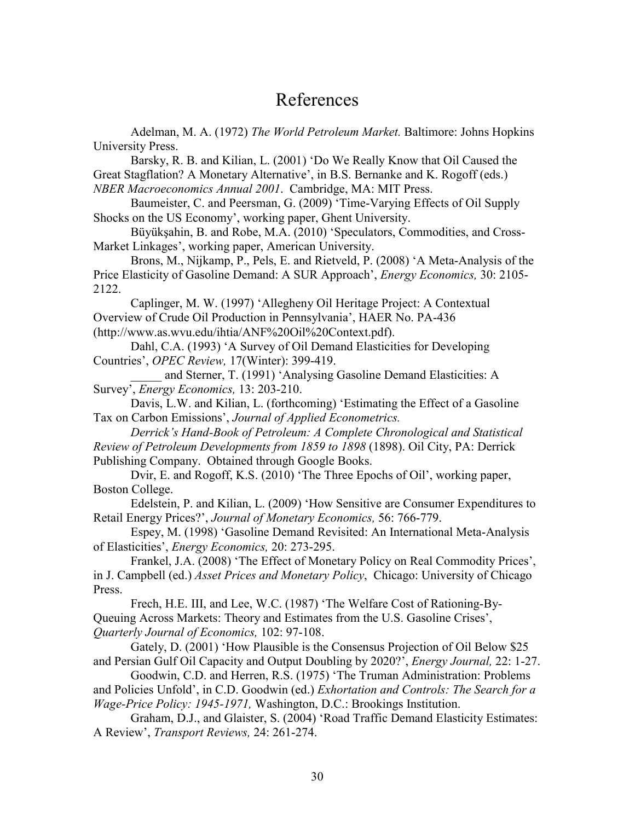#### References

 Adelman, M. A. (1972) *The World Petroleum Market.* Baltimore: Johns Hopkins University Press.

 Barsky, R. B. and Kilian, L. (2001) 'Do We Really Know that Oil Caused the Great Stagflation? A Monetary Alternative', in B.S. Bernanke and K. Rogoff (eds.) *NBER Macroeconomics Annual 2001*. Cambridge, MA: MIT Press.

 Baumeister, C. and Peersman, G. (2009) 'Time-Varying Effects of Oil Supply Shocks on the US Economy', working paper, Ghent University.

 Büyükşahin, B. and Robe, M.A. (2010) 'Speculators, Commodities, and Cross-Market Linkages', working paper, American University.

 Brons, M., Nijkamp, P., Pels, E. and Rietveld, P. (2008) 'A Meta-Analysis of the Price Elasticity of Gasoline Demand: A SUR Approach', *Energy Economics,* 30: 2105- 2122.

Caplinger, M. W. (1997) 'Allegheny Oil Heritage Project: A Contextual Overview of Crude Oil Production in Pennsylvania', HAER No. PA-436 (http://www.as.wvu.edu/ihtia/ANF%20Oil%20Context.pdf).

Dahl, C.A. (1993) 'A Survey of Oil Demand Elasticities for Developing Countries', *OPEC Review,* 17(Winter): 399-419.

and Sterner, T. (1991) 'Analysing Gasoline Demand Elasticities: A Survey', *Energy Economics,* 13: 203-210.

 Davis, L.W. and Kilian, L. (forthcoming) 'Estimating the Effect of a Gasoline Tax on Carbon Emissions', *Journal of Applied Econometrics.* 

*Derrick's Hand-Book of Petroleum: A Complete Chronological and Statistical Review of Petroleum Developments from 1859 to 1898* (1898). Oil City, PA: Derrick Publishing Company. Obtained through Google Books.

 Dvir, E. and Rogoff, K.S. (2010) 'The Three Epochs of Oil', working paper, Boston College.

 Edelstein, P. and Kilian, L. (2009) 'How Sensitive are Consumer Expenditures to Retail Energy Prices?', *Journal of Monetary Economics,* 56: 766-779.

 Espey, M. (1998) 'Gasoline Demand Revisited: An International Meta-Analysis of Elasticities', *Energy Economics,* 20: 273-295.

 Frankel, J.A. (2008) 'The Effect of Monetary Policy on Real Commodity Prices', in J. Campbell (ed.) *Asset Prices and Monetary Policy*, Chicago: University of Chicago Press.

 Frech, H.E. III, and Lee, W.C. (1987) 'The Welfare Cost of Rationing-By-Queuing Across Markets: Theory and Estimates from the U.S. Gasoline Crises', *Quarterly Journal of Economics,* 102: 97-108.

 Gately, D. (2001) 'How Plausible is the Consensus Projection of Oil Below \$25 and Persian Gulf Oil Capacity and Output Doubling by 2020?', *Energy Journal,* 22: 1-27.

 Goodwin, C.D. and Herren, R.S. (1975) 'The Truman Administration: Problems and Policies Unfold', in C.D. Goodwin (ed.) *Exhortation and Controls: The Search for a Wage-Price Policy: 1945-1971,* Washington, D.C.: Brookings Institution.

 Graham, D.J., and Glaister, S. (2004) 'Road Traffic Demand Elasticity Estimates: A Review', *Transport Reviews,* 24: 261-274.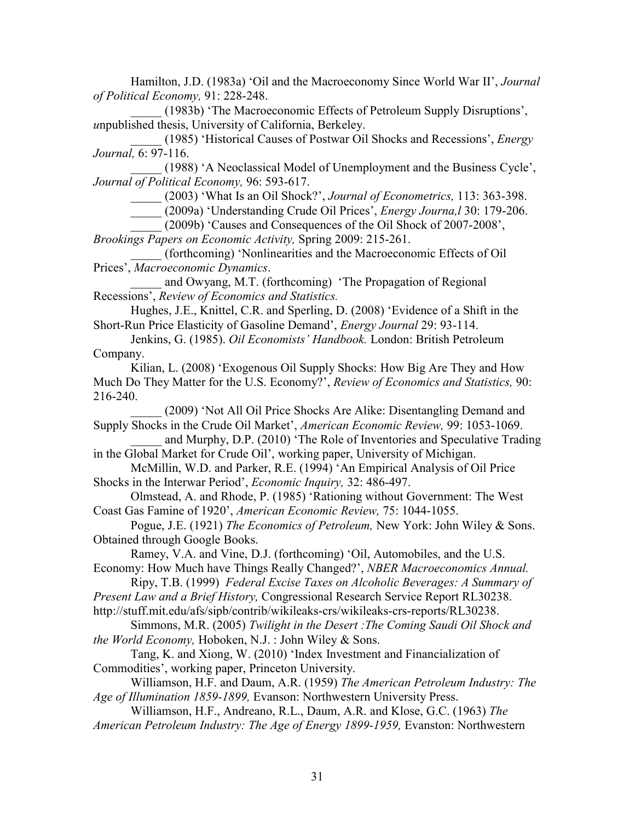Hamilton, J.D. (1983a) 'Oil and the Macroeconomy Since World War II', *Journal of Political Economy,* 91: 228-248.

 \_\_\_\_\_ (1983b) 'The Macroeconomic Effects of Petroleum Supply Disruptions', *u*npublished thesis, University of California, Berkeley.

 \_\_\_\_\_ (1985) 'Historical Causes of Postwar Oil Shocks and Recessions', *Energy Journal,* 6: 97-116.

(1988) 'A Neoclassical Model of Unemployment and the Business Cycle', *Journal of Political Economy,* 96: 593-617.

\_\_\_\_\_ (2003) 'What Is an Oil Shock?', *Journal of Econometrics,* 113: 363-398.

\_\_\_\_\_ (2009a) 'Understanding Crude Oil Prices', *Energy Journa,l* 30: 179-206.

 \_\_\_\_\_ (2009b) 'Causes and Consequences of the Oil Shock of 2007-2008', *Brookings Papers on Economic Activity,* Spring 2009: 215-261.

 \_\_\_\_\_ (forthcoming) 'Nonlinearities and the Macroeconomic Effects of Oil Prices', *Macroeconomic Dynamics*.

and Owyang, M.T. (forthcoming) 'The Propagation of Regional Recessions', *Review of Economics and Statistics.*

 Hughes, J.E., Knittel, C.R. and Sperling, D. (2008) 'Evidence of a Shift in the Short-Run Price Elasticity of Gasoline Demand', *Energy Journal* 29: 93-114.

 Jenkins, G. (1985). *Oil Economists' Handbook.* London: British Petroleum Company.

 Kilian, L. (2008) 'Exogenous Oil Supply Shocks: How Big Are They and How Much Do They Matter for the U.S. Economy?', *Review of Economics and Statistics,* 90: 216-240.

 \_\_\_\_\_ (2009) 'Not All Oil Price Shocks Are Alike: Disentangling Demand and Supply Shocks in the Crude Oil Market', *American Economic Review,* 99: 1053-1069. and Murphy, D.P. (2010) 'The Role of Inventories and Speculative Trading

in the Global Market for Crude Oil', working paper, University of Michigan.

 McMillin, W.D. and Parker, R.E. (1994) 'An Empirical Analysis of Oil Price Shocks in the Interwar Period', *Economic Inquiry,* 32: 486-497.

 Olmstead, A. and Rhode, P. (1985) 'Rationing without Government: The West Coast Gas Famine of 1920', *American Economic Review,* 75: 1044-1055.

 Pogue, J.E. (1921) *The Economics of Petroleum,* New York: John Wiley & Sons. Obtained through Google Books.

Ramey, V.A. and Vine, D.J. (forthcoming) 'Oil, Automobiles, and the U.S. Economy: How Much have Things Really Changed?', *NBER Macroeconomics Annual.*

 Ripy, T.B. (1999) *Federal Excise Taxes on Alcoholic Beverages: A Summary of Present Law and a Brief History,* Congressional Research Service Report RL30238.

http://stuff.mit.edu/afs/sipb/contrib/wikileaks-crs/wikileaks-crs-reports/RL30238.

 Simmons, M.R. (2005) *Twilight in the Desert :The Coming Saudi Oil Shock and the World Economy,* Hoboken, N.J. : John Wiley & Sons.

 Tang, K. and Xiong, W. (2010) 'Index Investment and Financialization of Commodities', working paper, Princeton University.

 Williamson, H.F. and Daum, A.R. (1959) *The American Petroleum Industry: The Age of Illumination 1859-1899,* Evanson: Northwestern University Press.

 Williamson, H.F., Andreano, R.L., Daum, A.R. and Klose, G.C. (1963) *The American Petroleum Industry: The Age of Energy 1899-1959, Evanston: Northwestern*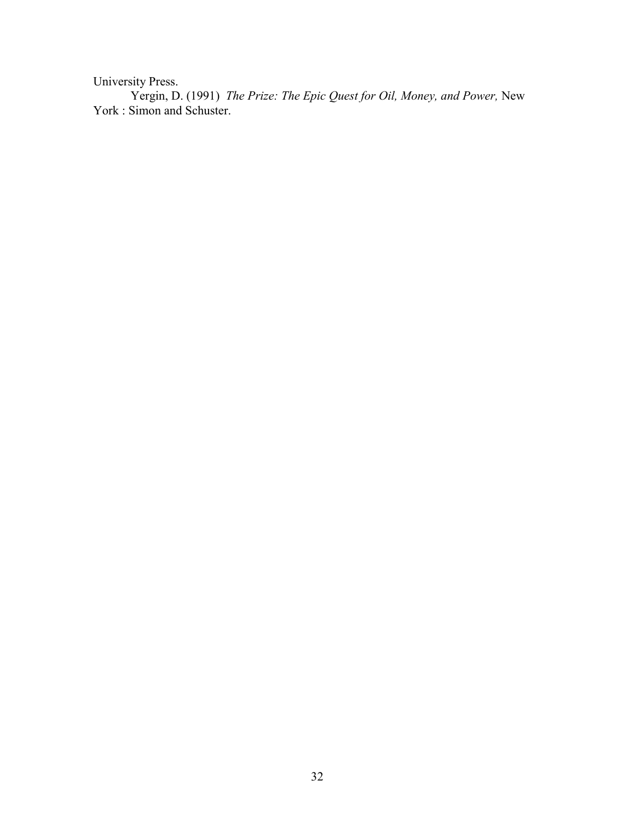University Press.

 Yergin, D. (1991) *The Prize: The Epic Quest for Oil, Money, and Power,* New York : Simon and Schuster.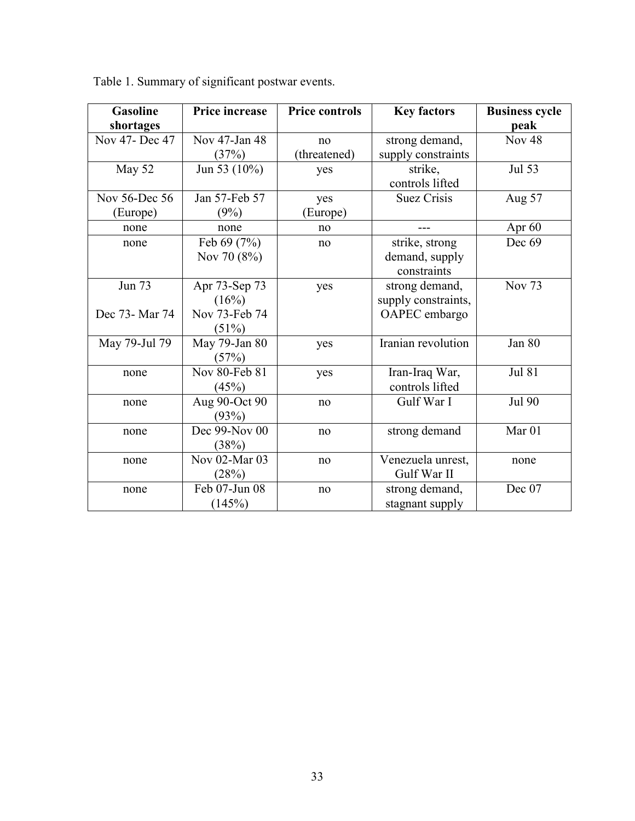| <b>Gasoline</b> | Price increase  | <b>Price controls</b> | <b>Key factors</b>  | <b>Business cycle</b> |
|-----------------|-----------------|-----------------------|---------------------|-----------------------|
| shortages       |                 |                       |                     | peak                  |
| Nov 47- Dec 47  | Nov 47-Jan 48   | no                    | strong demand,      | Nov <sub>48</sub>     |
|                 | (37%)           | (threatened)          | supply constraints  |                       |
| May 52          | Jun 53 $(10\%)$ | yes                   | strike,             | Jul 53                |
|                 |                 |                       | controls lifted     |                       |
| Nov 56-Dec 56   | Jan 57-Feb 57   | yes                   | <b>Suez Crisis</b>  | Aug 57                |
| (Europe)        | (9%)            | (Europe)              |                     |                       |
| none            | none            | no                    |                     | Apr 60                |
| none            | Feb 69 (7%)     | no                    | strike, strong      | Dec 69                |
|                 | Nov 70 (8%)     |                       | demand, supply      |                       |
|                 |                 |                       | constraints         |                       |
| <b>Jun 73</b>   | Apr 73-Sep 73   | yes                   | strong demand,      | <b>Nov 73</b>         |
|                 | (16%)           |                       | supply constraints, |                       |
| Dec 73- Mar 74  | Nov 73-Feb 74   |                       | OAPEC embargo       |                       |
|                 | (51%)           |                       |                     |                       |
| May 79-Jul 79   | May 79-Jan 80   | yes                   | Iranian revolution  | Jan 80                |
|                 | (57%)           |                       |                     |                       |
| none            | Nov 80-Feb 81   | yes                   | Iran-Iraq War,      | <b>Jul 81</b>         |
|                 | (45%)           |                       | controls lifted     |                       |
| none            | Aug 90-Oct 90   | no                    | Gulf War I          | Jul 90                |
|                 | (93%)           |                       |                     |                       |
| none            | Dec 99-Nov 00   | no                    | strong demand       | Mar <sub>01</sub>     |
|                 | (38%)           |                       |                     |                       |
| none            | Nov 02-Mar 03   | no                    | Venezuela unrest,   | none                  |
|                 | (28%)           |                       | Gulf War II         |                       |
| none            | Feb 07-Jun 08   | no                    | strong demand,      | Dec 07                |
|                 | (145%)          |                       | stagnant supply     |                       |

Table 1. Summary of significant postwar events.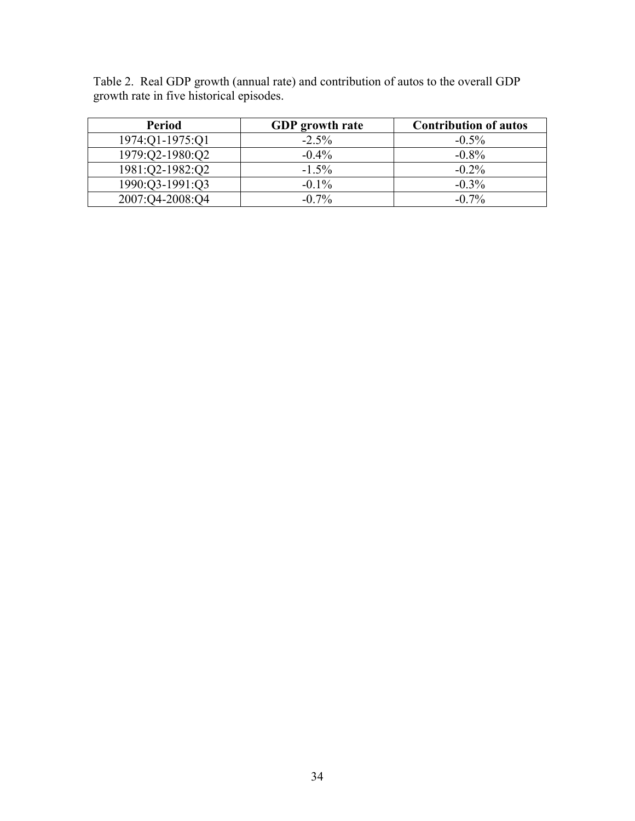|  | Table 2. Real GDP growth (annual rate) and contribution of autos to the overall GDP |  |  |  |
|--|-------------------------------------------------------------------------------------|--|--|--|
|  | growth rate in five historical episodes.                                            |  |  |  |

| Period          | <b>GDP</b> growth rate | <b>Contribution of autos</b> |
|-----------------|------------------------|------------------------------|
| 1974:Q1-1975:Q1 | $-2.5\%$               | $-0.5\%$                     |
| 1979:Q2-1980:Q2 | $-0.4\%$               | $-0.8\%$                     |
| 1981:Q2-1982:Q2 | $-1.5\%$               | $-0.2\%$                     |
| 1990:Q3-1991:Q3 | $-0.1\%$               | $-0.3\%$                     |
| 2007:04-2008:04 | $-0.7\%$               | $-0.7\%$                     |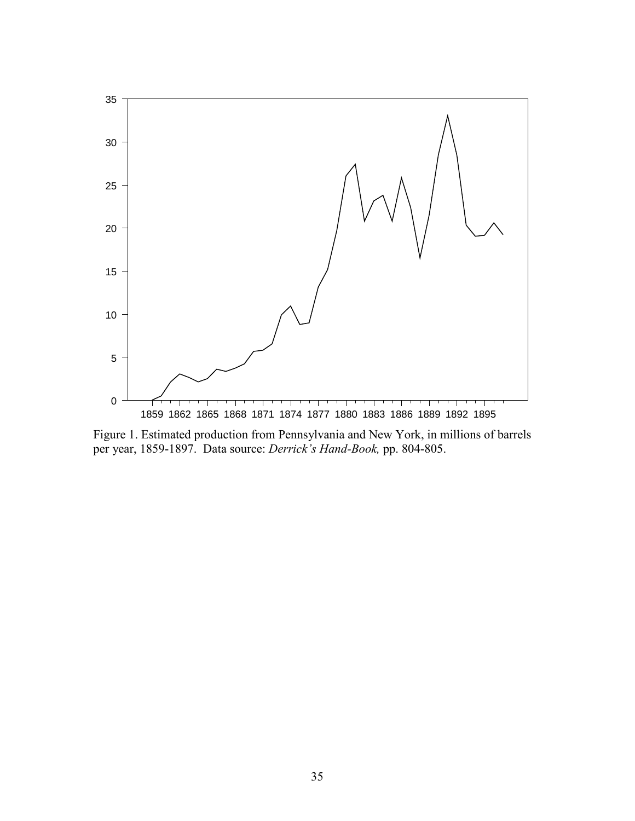

Figure 1. Estimated production from Pennsylvania and New York, in millions of barrels per year, 1859-1897. Data source: *Derrick's Hand-Book,* pp. 804-805.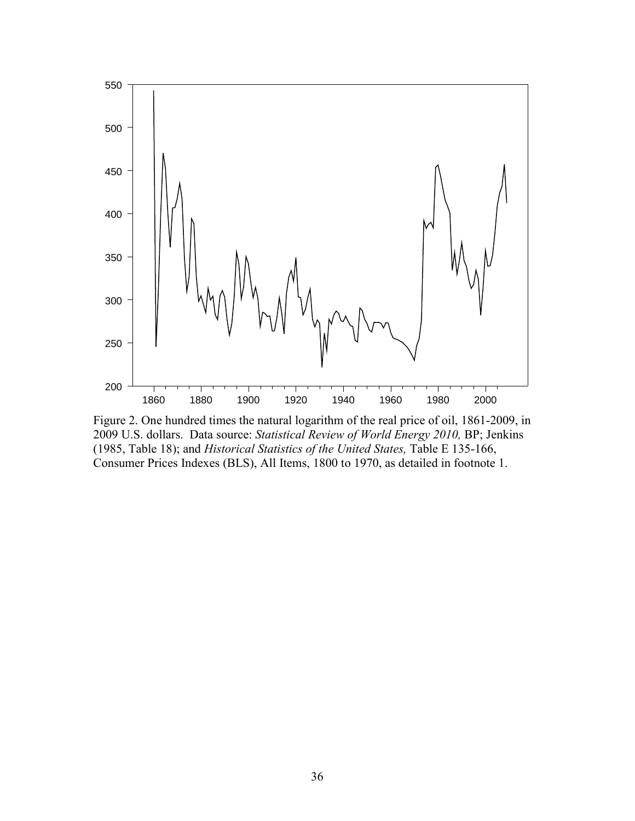

Figure 2. One hundred times the natural logarithm of the real price of oil, 1861-2009, in 2009 U.S. dollars. Data source: *Statistical Review of World Energy 2010,* BP; Jenkins (1985, Table 18); and *Historical Statistics of the United States,* Table E 135-166, Consumer Prices Indexes (BLS), All Items, 1800 to 1970, as detailed in footnote 1.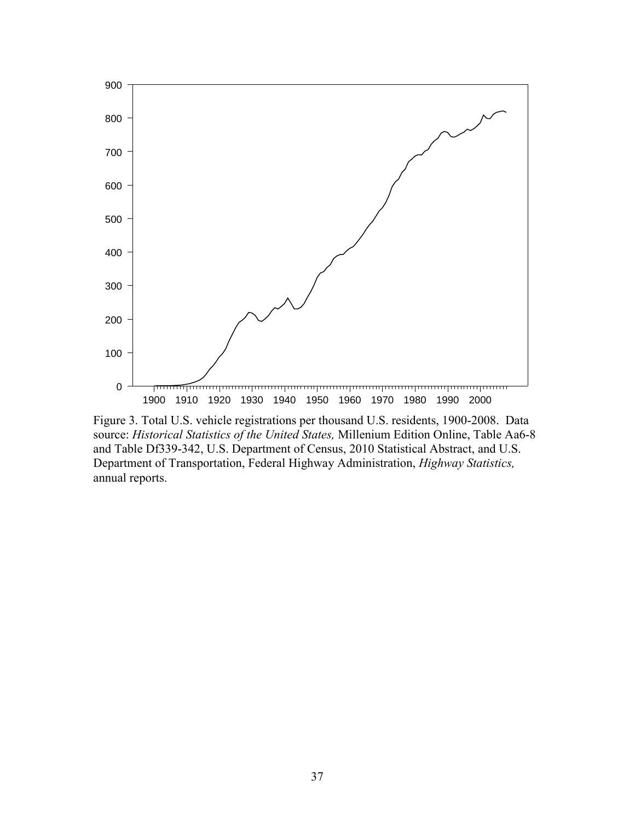

Figure 3. Total U.S. vehicle registrations per thousand U.S. residents, 1900-2008. Data source: *Historical Statistics of the United States,* Millenium Edition Online, Table Aa6-8 and Table Df339-342, U.S. Department of Census, 2010 Statistical Abstract, and U.S. Department of Transportation, Federal Highway Administration, *Highway Statistics,*  annual reports.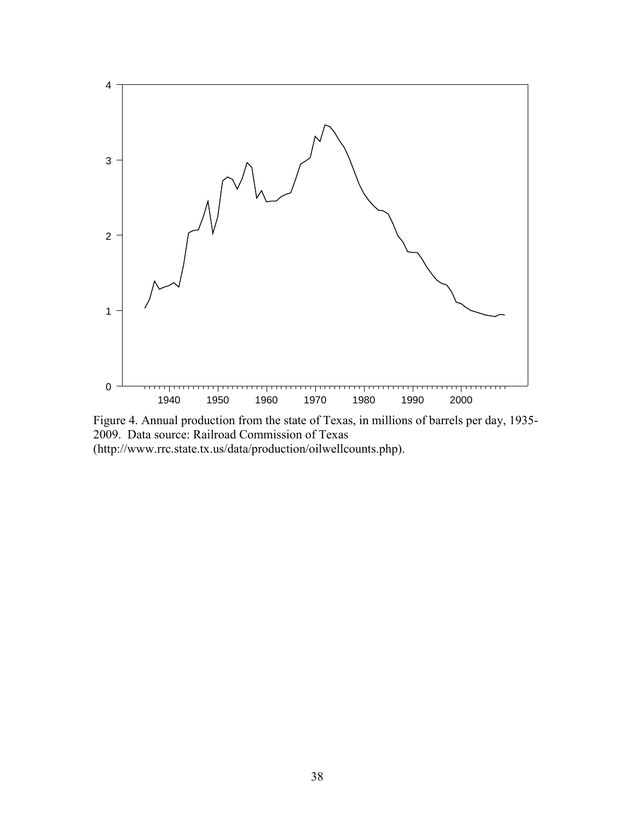

Figure 4. Annual production from the state of Texas, in millions of barrels per day, 1935- 2009. Data source: Railroad Commission of Texas (http://www.rrc.state.tx.us/data/production/oilwellcounts.php).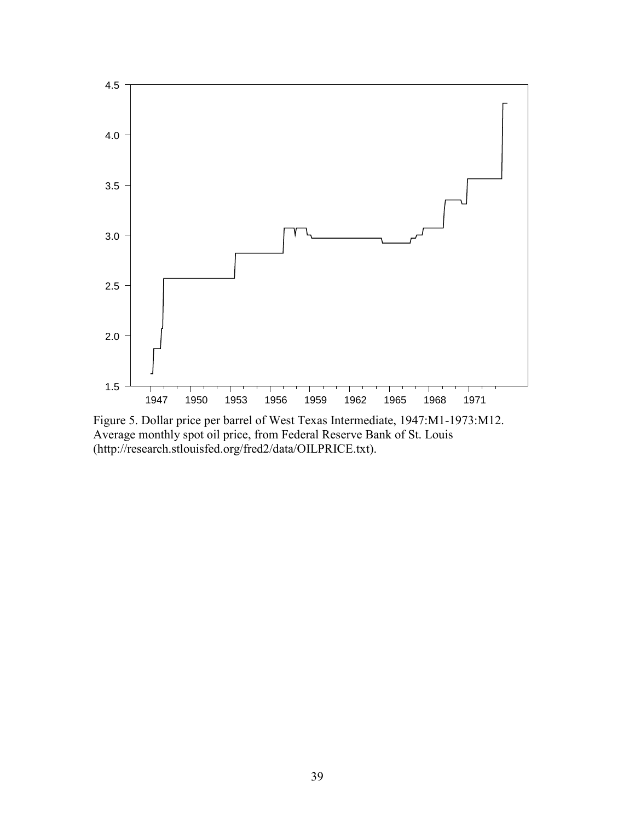

Figure 5. Dollar price per barrel of West Texas Intermediate, 1947:M1-1973:M12. Average monthly spot oil price, from Federal Reserve Bank of St. Louis (http://research.stlouisfed.org/fred2/data/OILPRICE.txt).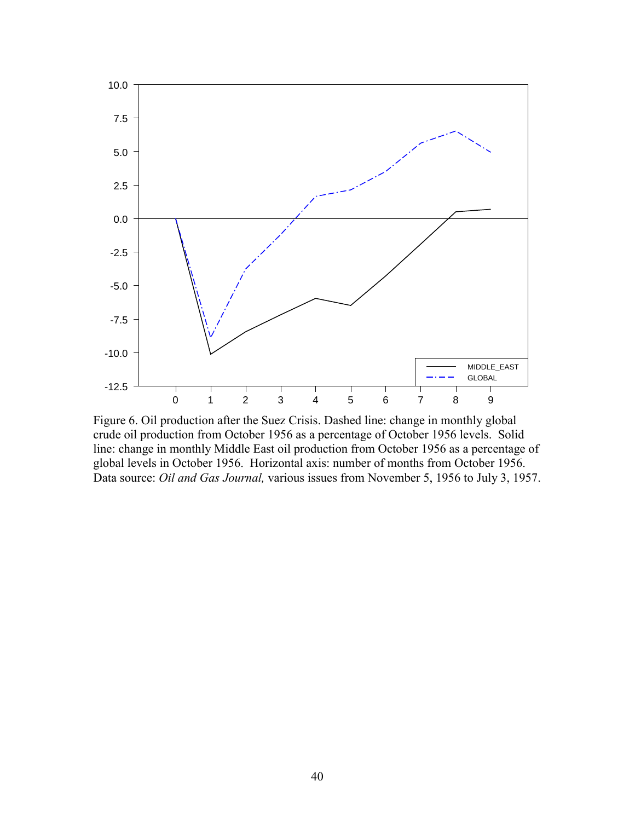

Figure 6. Oil production after the Suez Crisis. Dashed line: change in monthly global crude oil production from October 1956 as a percentage of October 1956 levels. Solid line: change in monthly Middle East oil production from October 1956 as a percentage of global levels in October 1956. Horizontal axis: number of months from October 1956. Data source: *Oil and Gas Journal,* various issues from November 5, 1956 to July 3, 1957.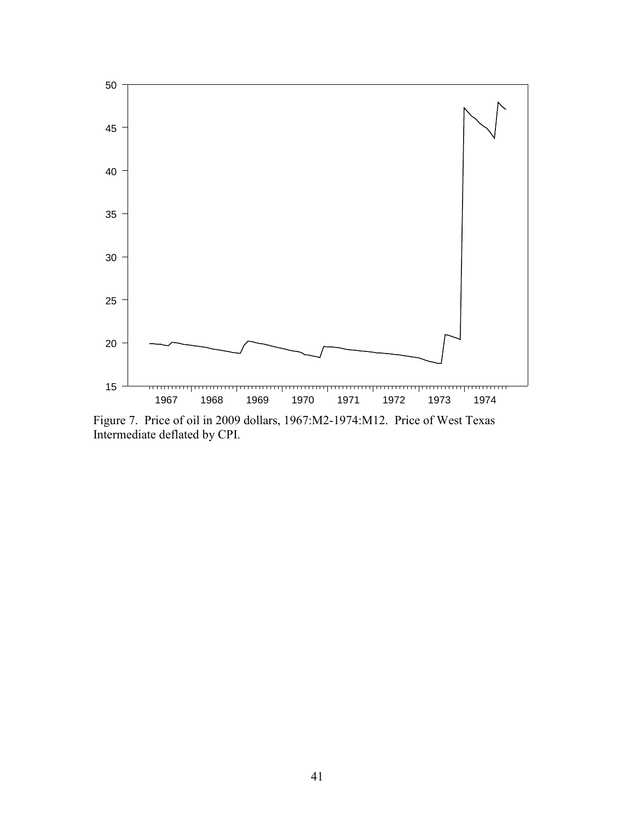

Figure 7. Price of oil in 2009 dollars, 1967:M2-1974:M12. Price of West Texas Intermediate deflated by CPI.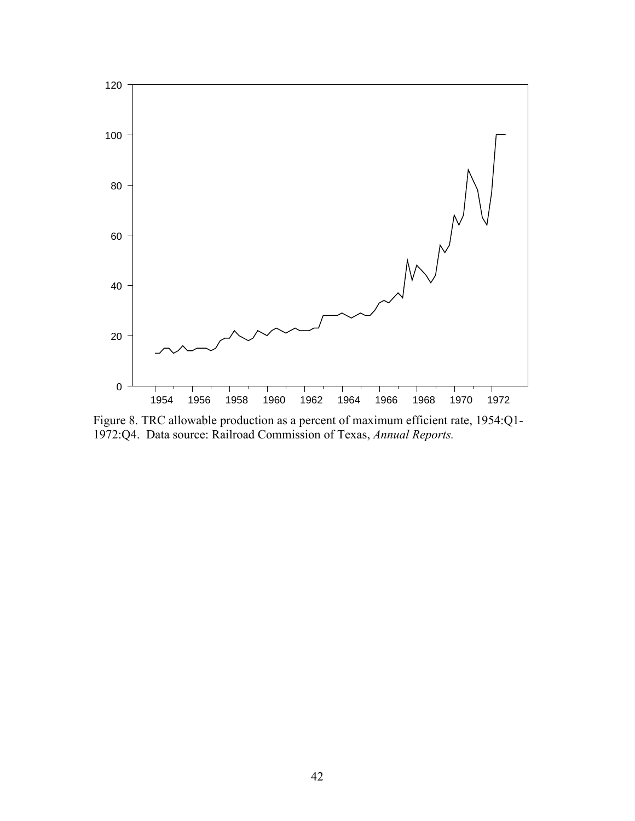

Figure 8. TRC allowable production as a percent of maximum efficient rate, 1954:Q1- 1972:Q4. Data source: Railroad Commission of Texas, *Annual Reports.*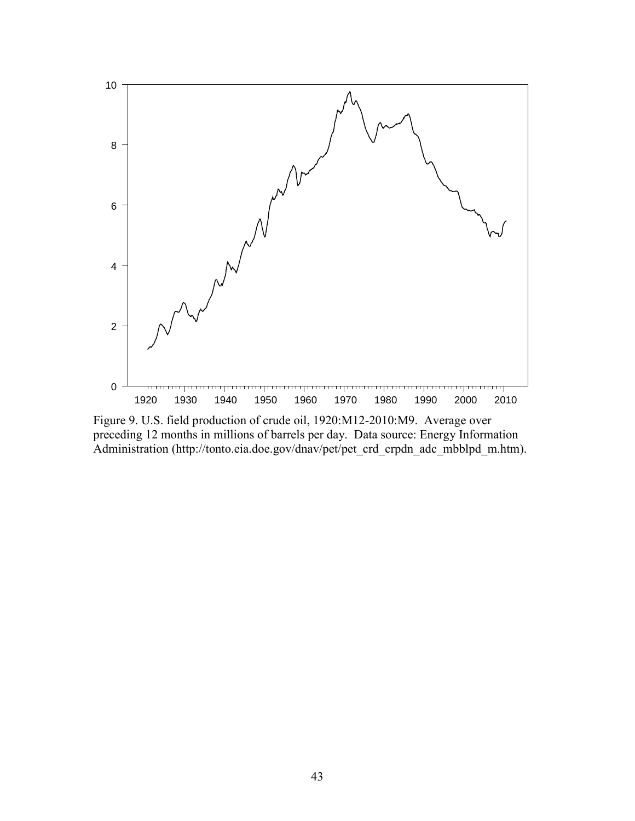

Figure 9. U.S. field production of crude oil, 1920:M12-2010:M9. Average over preceding 12 months in millions of barrels per day. Data source: Energy Information Administration (http://tonto.eia.doe.gov/dnav/pet/pet\_crd\_crpdn\_adc\_mbblpd\_m.htm).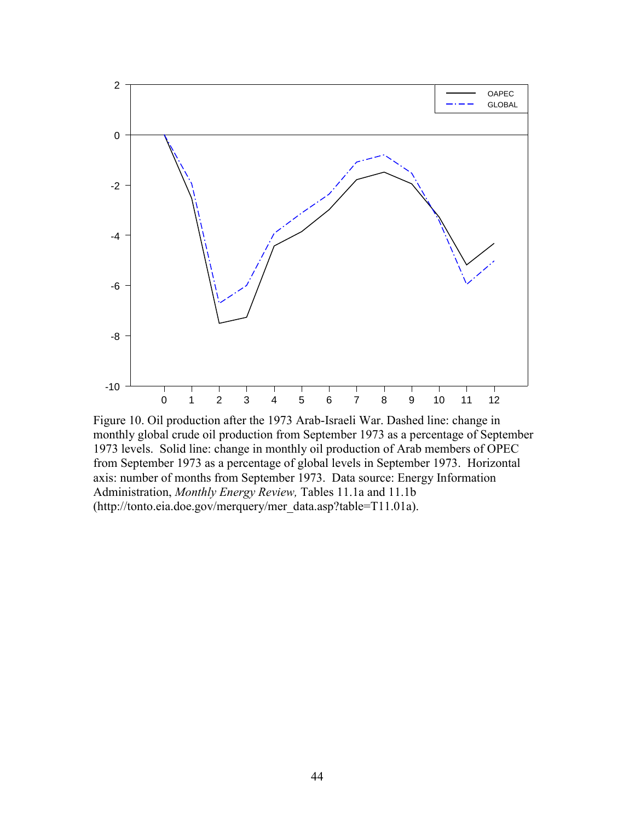

Figure 10. Oil production after the 1973 Arab-Israeli War. Dashed line: change in monthly global crude oil production from September 1973 as a percentage of September 1973 levels. Solid line: change in monthly oil production of Arab members of OPEC from September 1973 as a percentage of global levels in September 1973. Horizontal axis: number of months from September 1973. Data source: Energy Information Administration, *Monthly Energy Review,* Tables 11.1a and 11.1b (http://tonto.eia.doe.gov/merquery/mer\_data.asp?table=T11.01a).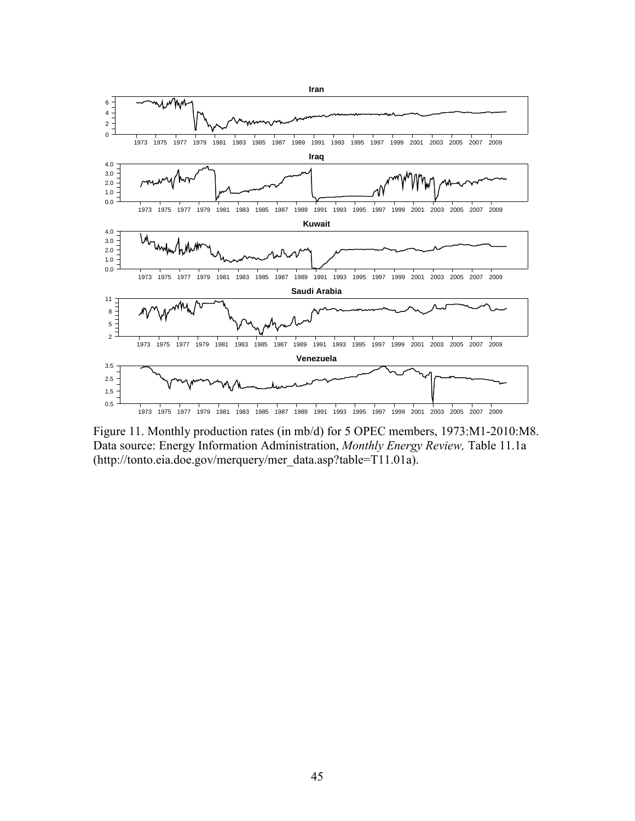

Figure 11. Monthly production rates (in mb/d) for 5 OPEC members, 1973:M1-2010:M8. Data source: Energy Information Administration, *Monthly Energy Review,* Table 11.1a (http://tonto.eia.doe.gov/merquery/mer\_data.asp?table=T11.01a).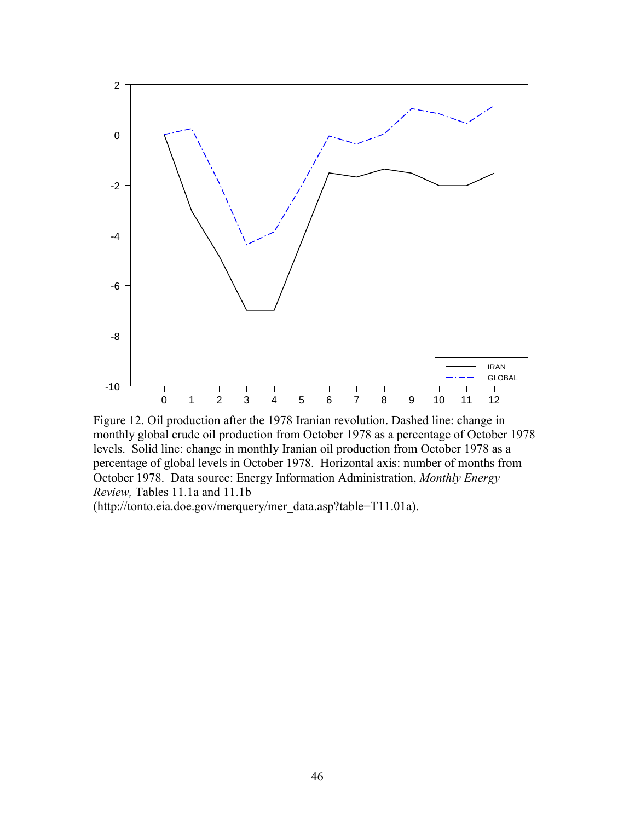

Figure 12. Oil production after the 1978 Iranian revolution. Dashed line: change in monthly global crude oil production from October 1978 as a percentage of October 1978 levels. Solid line: change in monthly Iranian oil production from October 1978 as a percentage of global levels in October 1978. Horizontal axis: number of months from October 1978. Data source: Energy Information Administration, *Monthly Energy Review,* Tables 11.1a and 11.1b

(http://tonto.eia.doe.gov/merquery/mer\_data.asp?table=T11.01a).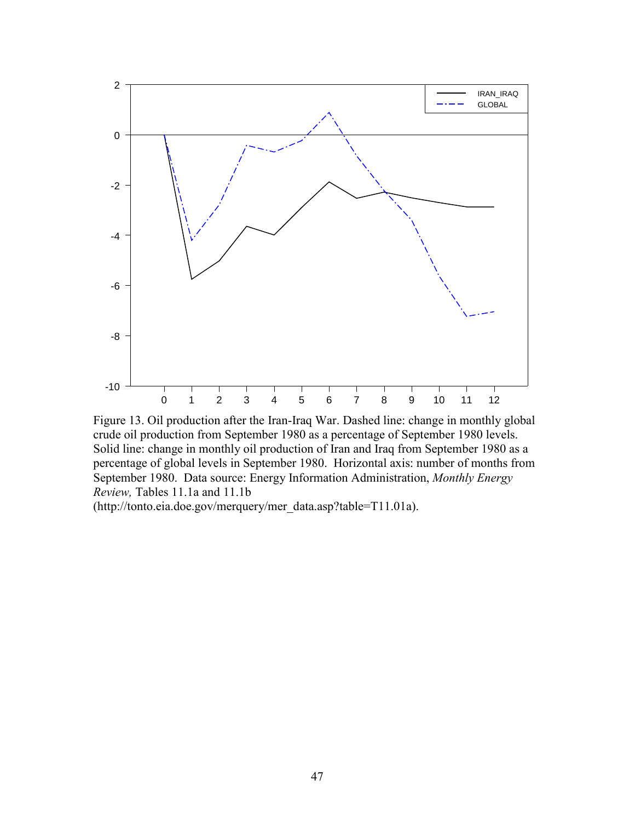

Figure 13. Oil production after the Iran-Iraq War. Dashed line: change in monthly global crude oil production from September 1980 as a percentage of September 1980 levels. Solid line: change in monthly oil production of Iran and Iraq from September 1980 as a percentage of global levels in September 1980. Horizontal axis: number of months from September 1980. Data source: Energy Information Administration, *Monthly Energy Review,* Tables 11.1a and 11.1b

(http://tonto.eia.doe.gov/merquery/mer\_data.asp?table=T11.01a).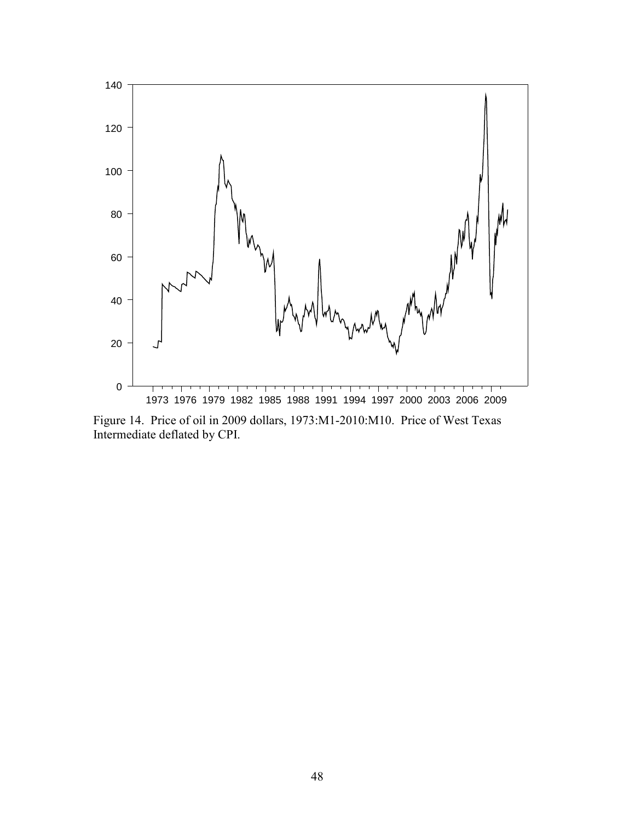

Figure 14. Price of oil in 2009 dollars, 1973:M1-2010:M10. Price of West Texas Intermediate deflated by CPI.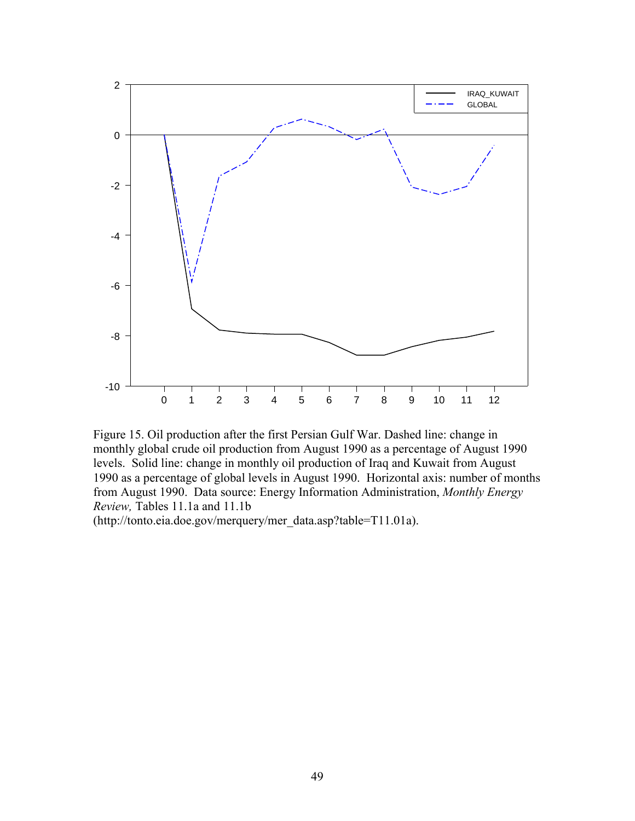

Figure 15. Oil production after the first Persian Gulf War. Dashed line: change in monthly global crude oil production from August 1990 as a percentage of August 1990 levels. Solid line: change in monthly oil production of Iraq and Kuwait from August 1990 as a percentage of global levels in August 1990. Horizontal axis: number of months from August 1990. Data source: Energy Information Administration, *Monthly Energy Review,* Tables 11.1a and 11.1b

(http://tonto.eia.doe.gov/merquery/mer\_data.asp?table=T11.01a).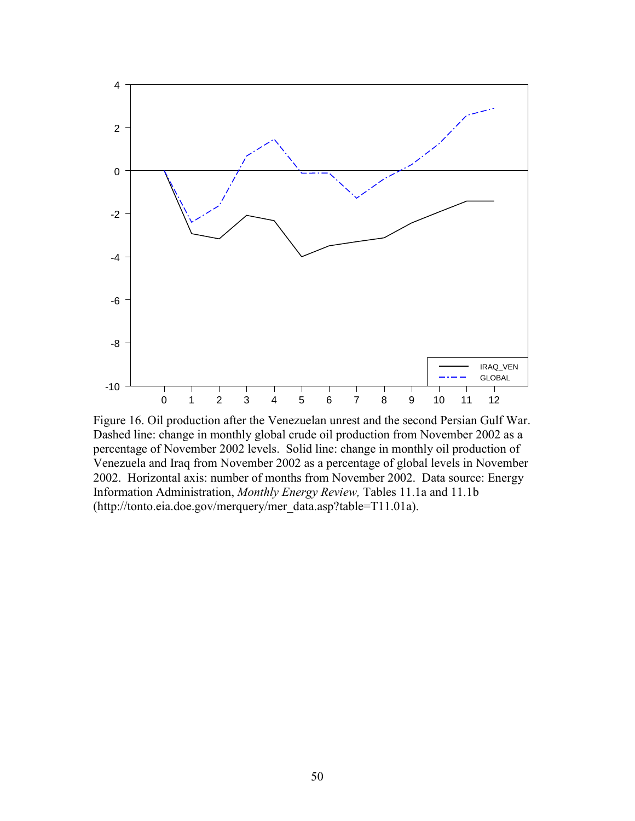

Figure 16. Oil production after the Venezuelan unrest and the second Persian Gulf War. Dashed line: change in monthly global crude oil production from November 2002 as a percentage of November 2002 levels. Solid line: change in monthly oil production of Venezuela and Iraq from November 2002 as a percentage of global levels in November 2002. Horizontal axis: number of months from November 2002. Data source: Energy Information Administration, *Monthly Energy Review,* Tables 11.1a and 11.1b (http://tonto.eia.doe.gov/merquery/mer\_data.asp?table=T11.01a).